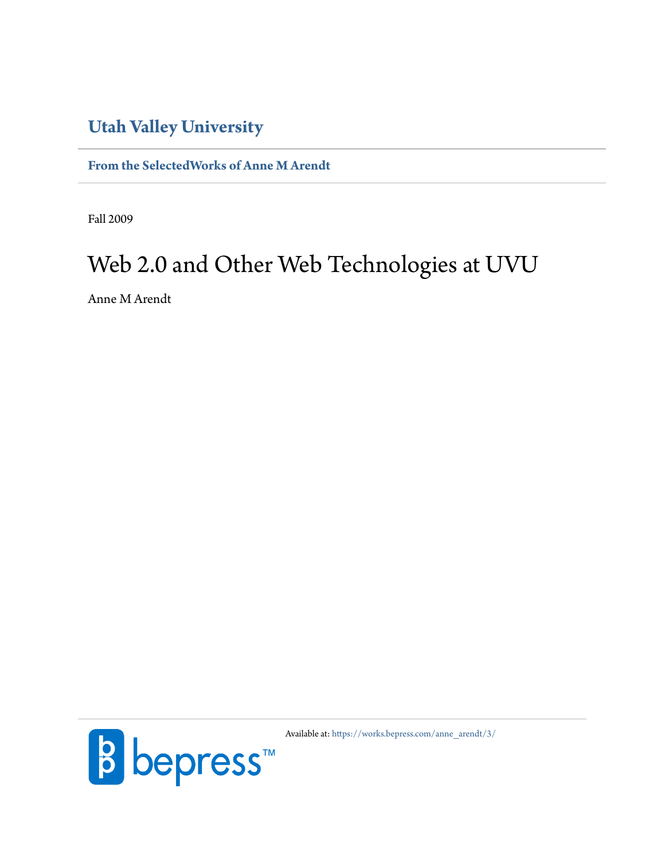# **[Utah Valley University](http://www.uvu.edu/)**

**[From the SelectedWorks of Anne M Arendt](https://works.bepress.com/anne_arendt/)**

Fall 2009

# Web 2.0 and Other Web Technologies at UVU

Anne M Arendt



Available at: [https://works.bepress.com/anne\\_arendt/3/](https://works.bepress.com/anne_arendt/3/)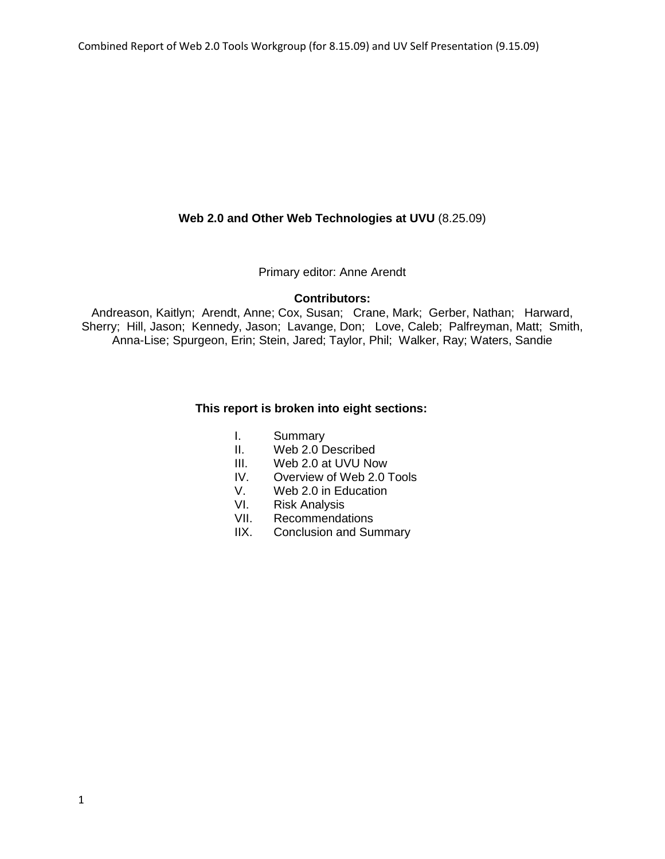#### **Web 2.0 and Other Web Technologies at UVU** (8.25.09)

Primary editor: Anne Arendt

#### **Contributors:**

Andreason, Kaitlyn; Arendt, Anne; Cox, Susan; Crane, Mark; Gerber, Nathan; Harward, Sherry; Hill, Jason; Kennedy, Jason; Lavange, Don; Love, Caleb; Palfreyman, Matt; Smith, Anna-Lise; Spurgeon, Erin; Stein, Jared; Taylor, Phil; Walker, Ray; Waters, Sandie

#### **This report is broken into eight sections:**

- I. Summary
- II. Web 2.0 Described
- III. Web 2.0 at UVU Now
- IV. Overview of Web 2.0 Tools
- V. Web 2.0 in Education
- VI. Risk Analysis
- VII. Recommendations<br>IIX. Conclusion and Sur
- Conclusion and Summary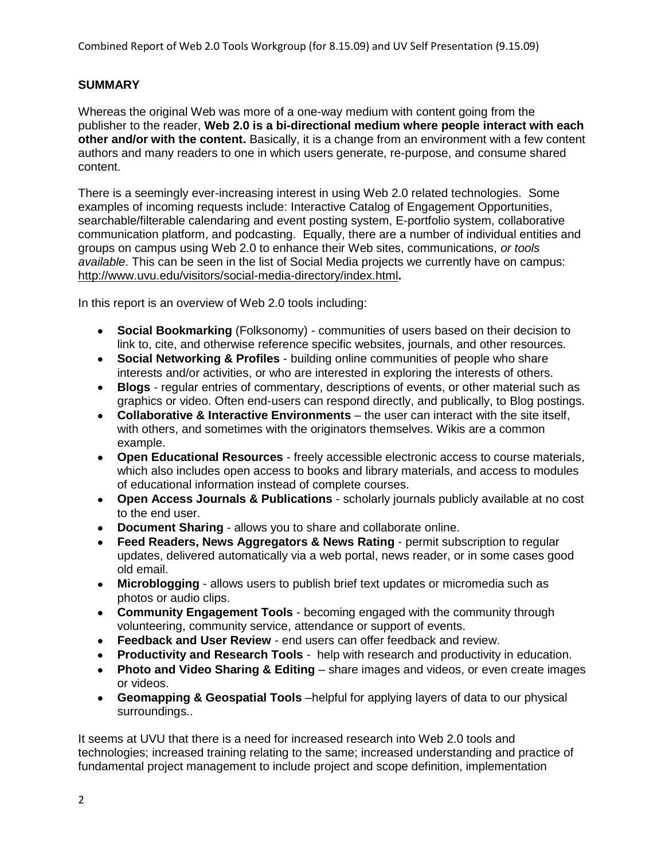# **SUMMARY**

Whereas the original Web was more of a one-way medium with content going from the publisher to the reader, **Web 2.0 is a bi-directional medium where people interact with each other and/or with the content.** Basically, it is a change from an environment with a few content authors and many readers to one in which users generate, re-purpose, and consume shared content.

There is a seemingly ever-increasing interest in using Web 2.0 related technologies. Some examples of incoming requests include: Interactive Catalog of Engagement Opportunities, searchable/filterable calendaring and event posting system, E-portfolio system, collaborative communication platform, and podcasting. Equally, there are a number of individual entities and groups on campus using Web 2.0 to enhance their Web sites, communications, *or tools available*. This can be seen in the list of Social Media projects we currently have on campus: <http://www.uvu.edu/visitors/social-media-directory/index.html>**.**

In this report is an overview of Web 2.0 tools including:

- **Social Bookmarking** (Folksonomy) communities of users based on their decision to link to, cite, and otherwise reference specific websites, journals, and other resources.
- **Social Networking & Profiles** building online communities of people who share interests and/or activities, or who are interested in exploring the interests of others.
- **Blogs** regular entries of commentary, descriptions of events, or other material such as  $\bullet$ graphics or video. Often end-users can respond directly, and publically, to Blog postings.
- **Collaborative & Interactive Environments** the user can interact with the site itself, with others, and sometimes with the originators themselves. Wikis are a common example.
- **Open Educational Resources** freely accessible electronic access to course materials, which also includes open access to books and library materials, and access to modules of educational information instead of complete courses.
- **Open Access Journals & Publications** scholarly journals publicly available at no cost to the end user.
- **Document Sharing**  allows you to share and collaborate online.
- **Feed Readers, News Aggregators & News Rating** permit subscription to regular updates, delivered automatically via a web portal, news reader, or in some cases good old email.
- **Microblogging** allows users to publish brief text updates or micromedia such as photos or audio clips.
- **Community Engagement Tools** becoming engaged with the community through volunteering, community service, attendance or support of events.
- **Feedback and User Review** end users can offer feedback and review.
- **Productivity and Research Tools** help with research and productivity in education.
- **Photo and Video Sharing & Editing** share images and videos, or even create images or videos.
- **Geomapping & Geospatial Tools** –helpful for applying layers of data to our physical surroundings..

It seems at UVU that there is a need for increased research into Web 2.0 tools and technologies; increased training relating to the same; increased understanding and practice of fundamental project management to include project and scope definition, implementation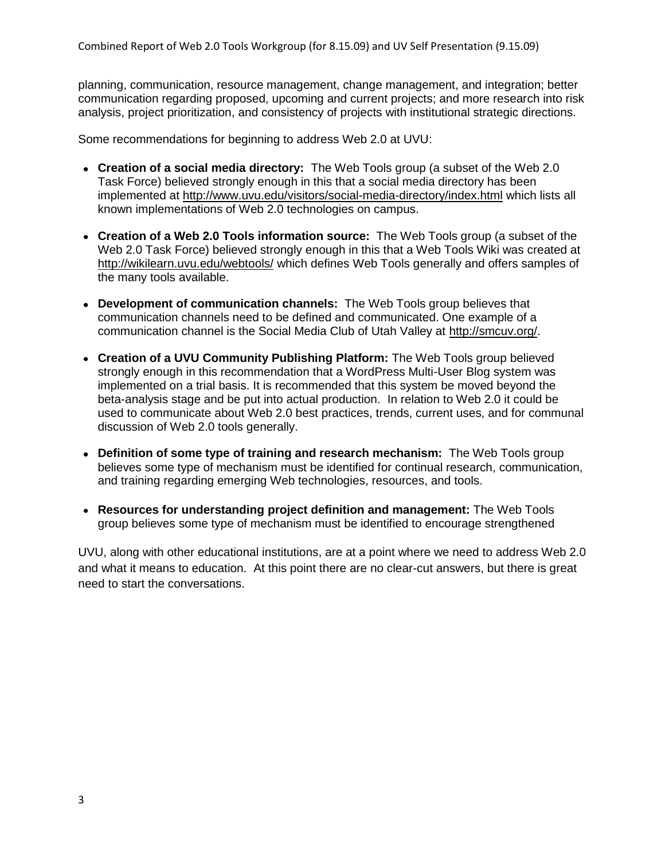planning, communication, resource management, change management, and integration; better communication regarding proposed, upcoming and current projects; and more research into risk analysis, project prioritization, and consistency of projects with institutional strategic directions.

Some recommendations for beginning to address Web 2.0 at UVU:

- **Creation of a social media directory:** The Web Tools group (a subset of the Web 2.0 Task Force) believed strongly enough in this that a social media directory has been implemented at<http://www.uvu.edu/visitors/social-media-directory/index.html> which lists all known implementations of Web 2.0 technologies on campus.
- **Creation of a Web 2.0 Tools information source:** The Web Tools group (a subset of the Web 2.0 Task Force) believed strongly enough in this that a Web Tools Wiki was created at <http://wikilearn.uvu.edu/webtools/> which defines Web Tools generally and offers samples of the many tools available.
- **Development of communication channels:** The Web Tools group believes that communication channels need to be defined and communicated. One example of a communication channel is the Social Media Club of Utah Valley at [http://smcuv.org/.](http://smcuv.org/)
- **Creation of a UVU Community Publishing Platform:** The Web Tools group believed strongly enough in this recommendation that a WordPress Multi-User Blog system was implemented on a trial basis. It is recommended that this system be moved beyond the beta-analysis stage and be put into actual production. In relation to Web 2.0 it could be used to communicate about Web 2.0 best practices, trends, current uses, and for communal discussion of Web 2.0 tools generally.
- **Definition of some type of training and research mechanism:** The Web Tools group believes some type of mechanism must be identified for continual research, communication, and training regarding emerging Web technologies, resources, and tools.
- **Resources for understanding project definition and management:** The Web Tools group believes some type of mechanism must be identified to encourage strengthened

UVU, along with other educational institutions, are at a point where we need to address Web 2.0 and what it means to education. At this point there are no clear-cut answers, but there is great need to start the conversations.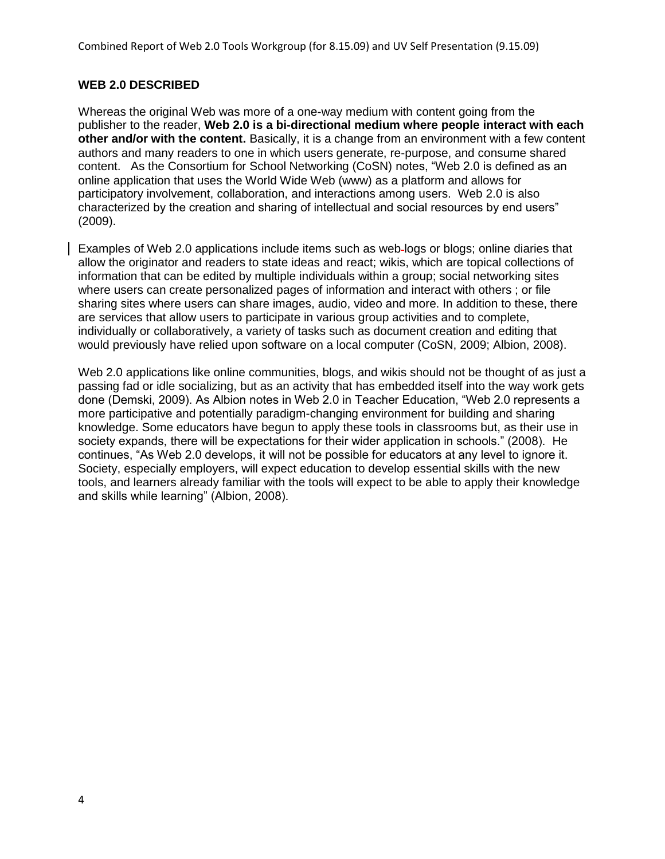# **WEB 2.0 DESCRIBED**

Whereas the original Web was more of a one-way medium with content going from the publisher to the reader, **Web 2.0 is a bi-directional medium where people interact with each other and/or with the content.** Basically, it is a change from an environment with a few content authors and many readers to one in which users generate, re-purpose, and consume shared content. As the Consortium for School Networking (CoSN) notes, "Web 2.0 is defined as an online application that uses the World Wide Web (www) as a platform and allows for participatory involvement, collaboration, and interactions among users. Web 2.0 is also characterized by the creation and sharing of intellectual and social resources by end users" (2009).

Examples of Web 2.0 applications include items such as web logs or blogs; online diaries that allow the originator and readers to state ideas and react; wikis, which are topical collections of information that can be edited by multiple individuals within a group; social networking sites where users can create personalized pages of information and interact with others ; or file sharing sites where users can share images, audio, video and more. In addition to these, there are services that allow users to participate in various group activities and to complete, individually or collaboratively, a variety of tasks such as document creation and editing that would previously have relied upon software on a local computer (CoSN, 2009; Albion, 2008).

Web 2.0 applications like online communities, blogs, and wikis should not be thought of as just a passing fad or idle socializing, but as an activity that has embedded itself into the way work gets done (Demski, 2009). As Albion notes in Web 2.0 in Teacher Education, "Web 2.0 represents a more participative and potentially paradigm-changing environment for building and sharing knowledge. Some educators have begun to apply these tools in classrooms but, as their use in society expands, there will be expectations for their wider application in schools." (2008). He continues, ―As Web 2.0 develops, it will not be possible for educators at any level to ignore it. Society, especially employers, will expect education to develop essential skills with the new tools, and learners already familiar with the tools will expect to be able to apply their knowledge and skills while learning" (Albion, 2008).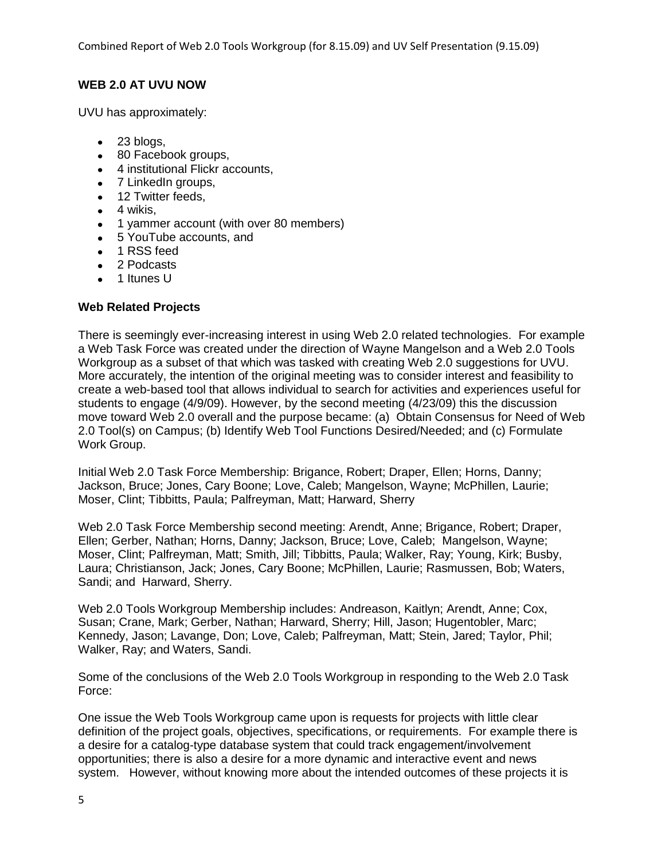Combined Report of Web 2.0 Tools Workgroup (for 8.15.09) and UV Self Presentation (9.15.09)

# **WEB 2.0 AT UVU NOW**

UVU has approximately:

- $\bullet$  23 blogs,
- 80 Facebook groups,
- 4 institutional Flickr accounts,
- 7 LinkedIn groups,
- 12 Twitter feeds,
- $\bullet$  4 wikis.
- 1 yammer account (with over 80 members)
- 5 YouTube accounts, and
- 1 RSS feed
- 2 Podcasts
- 1 Itunes U

# **Web Related Projects**

There is seemingly ever-increasing interest in using Web 2.0 related technologies. For example a Web Task Force was created under the direction of Wayne Mangelson and a Web 2.0 Tools Workgroup as a subset of that which was tasked with creating Web 2.0 suggestions for UVU. More accurately, the intention of the original meeting was to consider interest and feasibility to create a web-based tool that allows individual to search for activities and experiences useful for students to engage (4/9/09). However, by the second meeting (4/23/09) this the discussion move toward Web 2.0 overall and the purpose became: (a) Obtain Consensus for Need of Web 2.0 Tool(s) on Campus; (b) Identify Web Tool Functions Desired/Needed; and (c) Formulate Work Group.

Initial Web 2.0 Task Force Membership: Brigance, Robert; Draper, Ellen; Horns, Danny; Jackson, Bruce; Jones, Cary Boone; Love, Caleb; Mangelson, Wayne; McPhillen, Laurie; Moser, Clint; Tibbitts, Paula; Palfreyman, Matt; Harward, Sherry

Web 2.0 Task Force Membership second meeting: Arendt, Anne; Brigance, Robert; Draper, Ellen; Gerber, Nathan; Horns, Danny; Jackson, Bruce; Love, Caleb; Mangelson, Wayne; Moser, Clint; Palfreyman, Matt; Smith, Jill; Tibbitts, Paula; Walker, Ray; Young, Kirk; Busby, Laura; Christianson, Jack; Jones, Cary Boone; McPhillen, Laurie; Rasmussen, Bob; Waters, Sandi; and Harward, Sherry.

Web 2.0 Tools Workgroup Membership includes: Andreason, Kaitlyn; Arendt, Anne; Cox, Susan; Crane, Mark; Gerber, Nathan; Harward, Sherry; Hill, Jason; Hugentobler, Marc; Kennedy, Jason; Lavange, Don; Love, Caleb; Palfreyman, Matt; Stein, Jared; Taylor, Phil; Walker, Ray; and Waters, Sandi.

Some of the conclusions of the Web 2.0 Tools Workgroup in responding to the Web 2.0 Task Force:

One issue the Web Tools Workgroup came upon is requests for projects with little clear definition of the project goals, objectives, specifications, or requirements. For example there is a desire for a catalog-type database system that could track engagement/involvement opportunities; there is also a desire for a more dynamic and interactive event and news system. However, without knowing more about the intended outcomes of these projects it is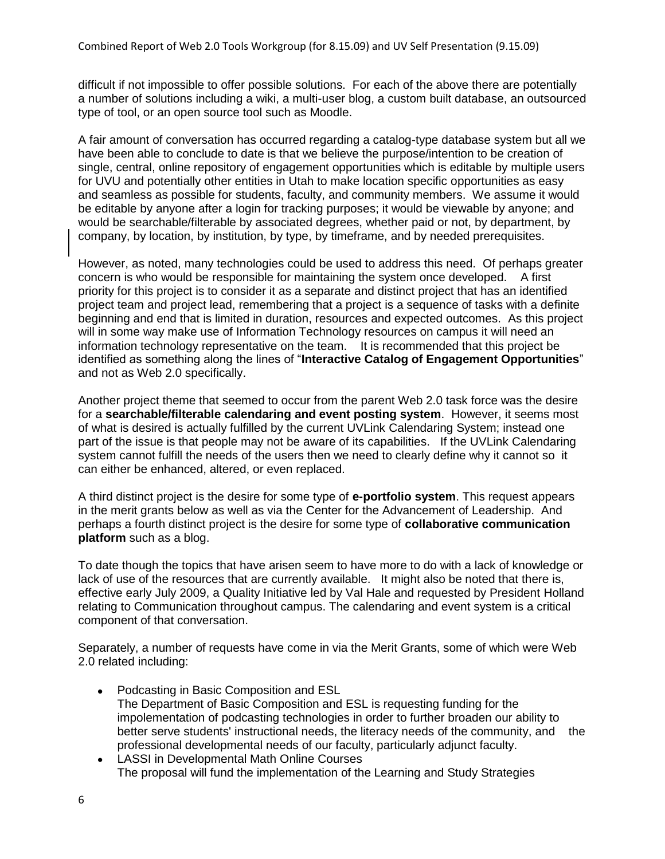difficult if not impossible to offer possible solutions. For each of the above there are potentially a number of solutions including a wiki, a multi-user blog, a custom built database, an outsourced type of tool, or an open source tool such as Moodle.

A fair amount of conversation has occurred regarding a catalog-type database system but all we have been able to conclude to date is that we believe the purpose/intention to be creation of single, central, online repository of engagement opportunities which is editable by multiple users for UVU and potentially other entities in Utah to make location specific opportunities as easy and seamless as possible for students, faculty, and community members. We assume it would be editable by anyone after a login for tracking purposes; it would be viewable by anyone; and would be searchable/filterable by associated degrees, whether paid or not, by department, by company, by location, by institution, by type, by timeframe, and by needed prerequisites.

However, as noted, many technologies could be used to address this need. Of perhaps greater concern is who would be responsible for maintaining the system once developed. A first priority for this project is to consider it as a separate and distinct project that has an identified project team and project lead, remembering that a project is a sequence of tasks with a definite beginning and end that is limited in duration, resources and expected outcomes. As this project will in some way make use of Information Technology resources on campus it will need an information technology representative on the team. It is recommended that this project be identified as something along the lines of "Interactive Catalog of Engagement Opportunities" and not as Web 2.0 specifically.

Another project theme that seemed to occur from the parent Web 2.0 task force was the desire for a **searchable/filterable calendaring and event posting system**. However, it seems most of what is desired is actually fulfilled by the current UVLink Calendaring System; instead one part of the issue is that people may not be aware of its capabilities. If the UVLink Calendaring system cannot fulfill the needs of the users then we need to clearly define why it cannot so it can either be enhanced, altered, or even replaced.

A third distinct project is the desire for some type of **e-portfolio system**. This request appears in the merit grants below as well as via the Center for the Advancement of Leadership. And perhaps a fourth distinct project is the desire for some type of **collaborative communication platform** such as a blog.

To date though the topics that have arisen seem to have more to do with a lack of knowledge or lack of use of the resources that are currently available. It might also be noted that there is, effective early July 2009, a Quality Initiative led by Val Hale and requested by President Holland relating to Communication throughout campus. The calendaring and event system is a critical component of that conversation.

Separately, a number of requests have come in via the Merit Grants, some of which were Web 2.0 related including:

- Podcasting in Basic Composition and ESL The Department of Basic Composition and ESL is requesting funding for the impolementation of podcasting technologies in order to further broaden our ability to better serve students' instructional needs, the literacy needs of the community, and the professional developmental needs of our faculty, particularly adjunct faculty.
- LASSI in Developmental Math Online Courses The proposal will fund the implementation of the Learning and Study Strategies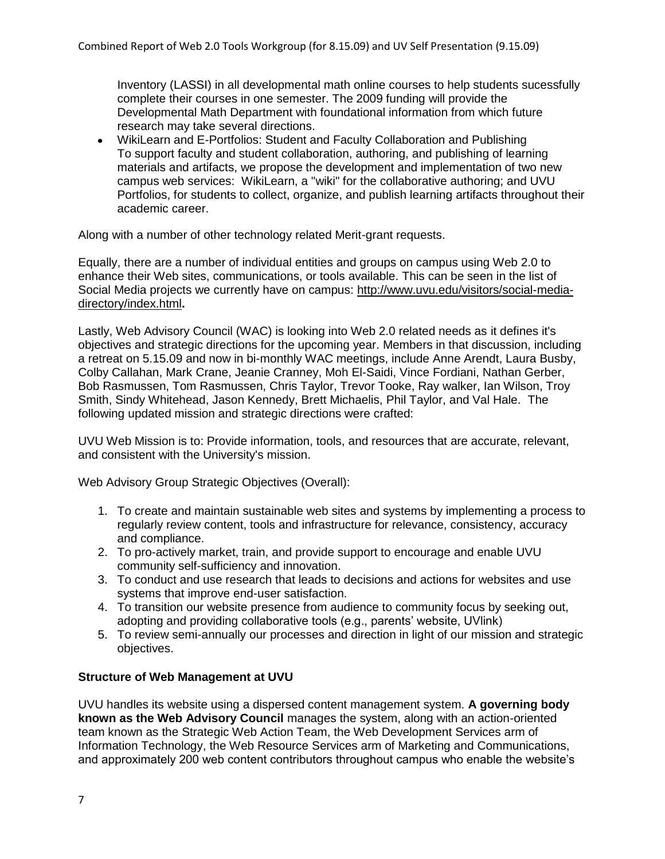Inventory (LASSI) in all developmental math online courses to help students sucessfully complete their courses in one semester. The 2009 funding will provide the Developmental Math Department with foundational information from which future research may take several directions.

WikiLearn and E-Portfolios: Student and Faculty Collaboration and Publishing To support faculty and student collaboration, authoring, and publishing of learning materials and artifacts, we propose the development and implementation of two new campus web services: WikiLearn, a "wiki" for the collaborative authoring; and UVU Portfolios, for students to collect, organize, and publish learning artifacts throughout their academic career.

Along with a number of other technology related Merit-grant requests.

Equally, there are a number of individual entities and groups on campus using Web 2.0 to enhance their Web sites, communications, or tools available. This can be seen in the list of Social Media projects we currently have on campus: [http://www.uvu.edu/visitors/social-media](http://www.uvu.edu/visitors/social-media-directory/index.html)[directory/index.html](http://www.uvu.edu/visitors/social-media-directory/index.html)**.**

Lastly, Web Advisory Council (WAC) is looking into Web 2.0 related needs as it defines it's objectives and strategic directions for the upcoming year. Members in that discussion, including a retreat on 5.15.09 and now in bi-monthly WAC meetings, include Anne Arendt, Laura Busby, Colby Callahan, Mark Crane, Jeanie Cranney, Moh El-Saidi, Vince Fordiani, Nathan Gerber, Bob Rasmussen, Tom Rasmussen, Chris Taylor, Trevor Tooke, Ray walker, Ian Wilson, Troy Smith, Sindy Whitehead, Jason Kennedy, Brett Michaelis, Phil Taylor, and Val Hale. The following updated mission and strategic directions were crafted:

UVU Web Mission is to: Provide information, tools, and resources that are accurate, relevant, and consistent with the University's mission.

Web Advisory Group Strategic Objectives (Overall):

- 1. To create and maintain sustainable web sites and systems by implementing a process to regularly review content, tools and infrastructure for relevance, consistency, accuracy and compliance.
- 2. To pro-actively market, train, and provide support to encourage and enable UVU community self-sufficiency and innovation.
- 3. To conduct and use research that leads to decisions and actions for websites and use systems that improve end-user satisfaction.
- 4. To transition our website presence from audience to community focus by seeking out, adopting and providing collaborative tools (e.g., parents' website, UVlink)
- 5. To review semi-annually our processes and direction in light of our mission and strategic objectives.

#### **Structure of Web Management at UVU**

UVU handles its website using a dispersed content management system. **A governing body known as the Web Advisory Council** manages the system, along with an action-oriented team known as the Strategic Web Action Team, the Web Development Services arm of Information Technology, the Web Resource Services arm of Marketing and Communications, and approximately 200 web content contributors throughout campus who enable the website's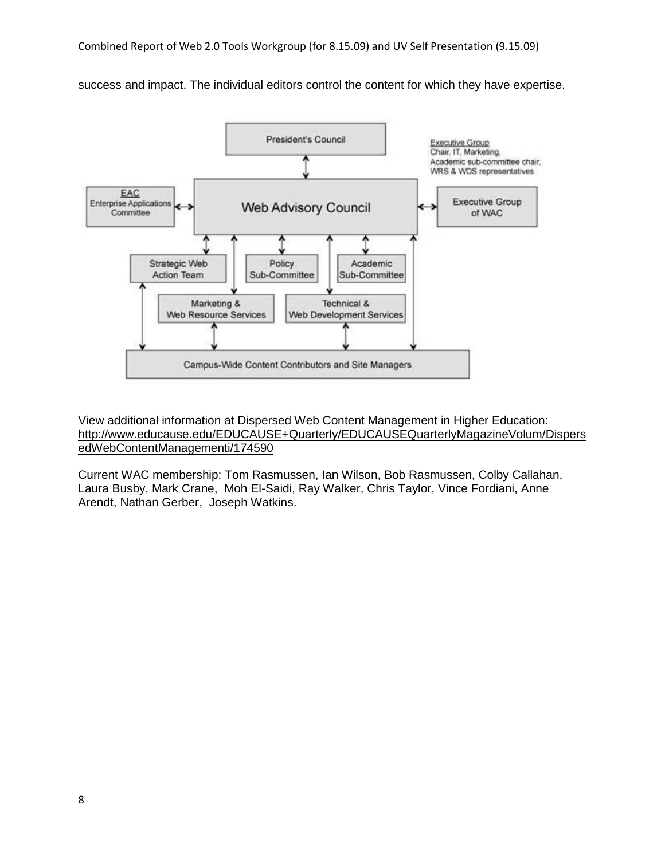success and impact. The individual editors control the content for which they have expertise.



View additional information at Dispersed Web Content Management in Higher Education: [http://www.educause.edu/EDUCAUSE+Quarterly/EDUCAUSEQuarterlyMagazineVolum/Dispers](http://www.educause.edu/EDUCAUSE+Quarterly/EDUCAUSEQuarterlyMagazineVolum/DispersedWebContentManagementi/174590) [edWebContentManagementi/174590](http://www.educause.edu/EDUCAUSE+Quarterly/EDUCAUSEQuarterlyMagazineVolum/DispersedWebContentManagementi/174590)

Current WAC membership: Tom Rasmussen, Ian Wilson, Bob Rasmussen, Colby Callahan, Laura Busby, Mark Crane, Moh El-Saidi, Ray Walker, Chris Taylor, Vince Fordiani, Anne Arendt, Nathan Gerber, Joseph Watkins.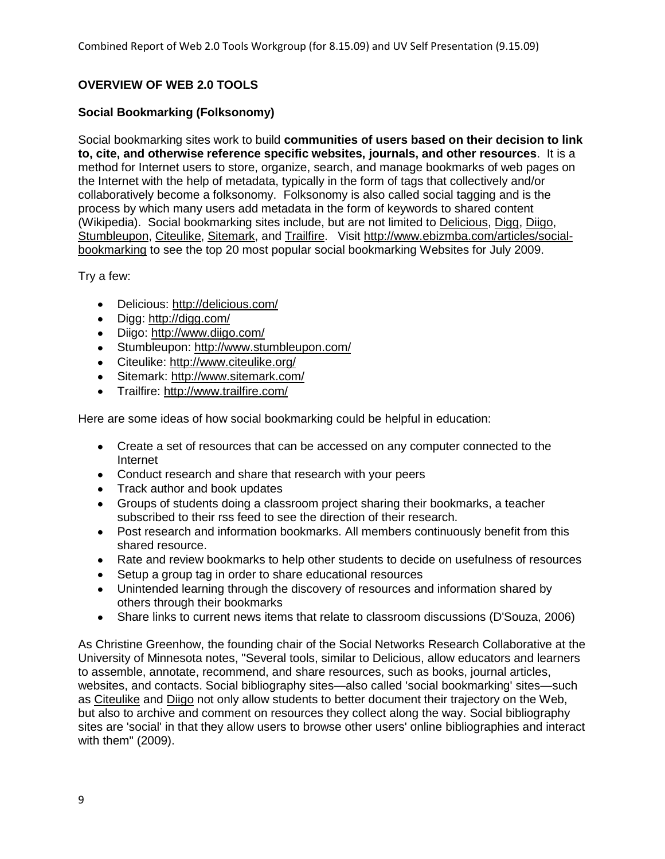# **OVERVIEW OF WEB 2.0 TOOLS**

# **Social Bookmarking (Folksonomy)**

Social bookmarking sites work to build **communities of users based on their decision to link to, cite, and otherwise reference specific websites, journals, and other resources**. It is a method for Internet users to store, organize, search, and manage bookmarks of web pages on the Internet with the help of metadata, typically in the form of tags that collectively and/or collaboratively become a folksonomy. Folksonomy is also called social tagging and is the process by which many users add metadata in the form of keywords to shared content (Wikipedia). Social bookmarking sites include, but are not limited to [Delicious,](http://delicious.com/) [Digg,](http://digg.com/) [Diigo,](http://www.diigo.com/) [Stumbleupon,](http://www.stumbleupon.com/) [Citeulike,](http://www.citeulike.org/) [Sitemark,](http://www.sitemark.com/) and [Trailfire.](http://www.trailfire.com/) Visit [http://www.ebizmba.com/articles/social](http://www.ebizmba.com/articles/social-bookmarking)[bookmarking](http://www.ebizmba.com/articles/social-bookmarking) to see the top 20 most popular social bookmarking Websites for July 2009.

Try a few:

- Delicious:<http://delicious.com/>
- Digg:<http://digg.com/>
- Diigo:<http://www.diigo.com/>
- Stumbleupon:<http://www.stumbleupon.com/>
- Citeulike:<http://www.citeulike.org/>
- Sitemark:<http://www.sitemark.com/>
- Trailfire:<http://www.trailfire.com/>

Here are some ideas of how social bookmarking could be helpful in education:

- Create a set of resources that can be accessed on any computer connected to the Internet
- Conduct research and share that research with your peers
- Track author and book updates
- Groups of students doing a classroom project sharing their bookmarks, a teacher subscribed to their rss feed to see the direction of their research.
- Post research and information bookmarks. All members continuously benefit from this shared resource.
- Rate and review bookmarks to help other students to decide on usefulness of resources
- Setup a group tag in order to share educational resources
- Unintended learning through the discovery of resources and information shared by others through their bookmarks
- Share links to current news items that relate to classroom discussions (D'Souza, 2006)

As Christine Greenhow, the founding chair of the Social Networks Research Collaborative at the University of Minnesota notes, "Several tools, similar to Delicious, allow educators and learners to assemble, annotate, recommend, and share resources, such as books, journal articles, websites, and contacts. Social bibliography sites—also called 'social bookmarking' sites—such as [Citeulike](http://www.citeulike.org/) and [Diigo](http://www.diigo.com/) not only allow students to better document their trajectory on the Web, but also to archive and comment on resources they collect along the way. Social bibliography sites are 'social' in that they allow users to browse other users' online bibliographies and interact with them" (2009).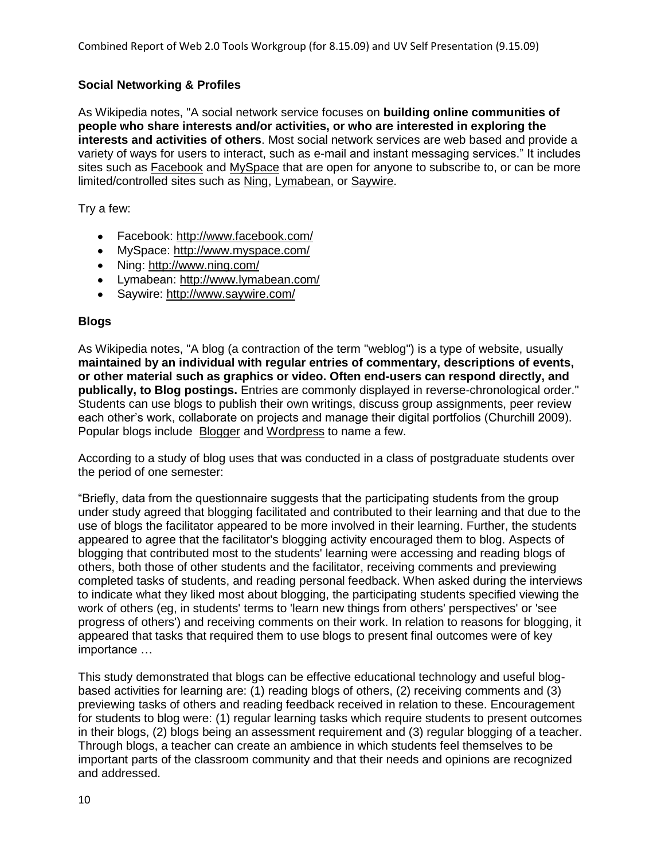# **Social Networking & Profiles**

As Wikipedia notes, "A social network service focuses on **building online communities of people who share interests and/or activities, or who are interested in exploring the interests and activities of others**. Most social network services are web based and provide a variety of ways for users to interact, such as e-mail and instant messaging services.‖ It includes sites such as [Facebook](http://www.facebook.com/) and [MySpace](http://www.myspace.com/) that are open for anyone to subscribe to, or can be more limited/controlled sites such as [Ning,](http://www.ning.com/) [Lymabean,](http://www.lymabean.com/) or [Saywire.](http://www.saywire.com/)

Try a few:

- Facebook:<http://www.facebook.com/>
- MySpace:<http://www.myspace.com/>
- Ning:<http://www.ning.com/>
- Lymabean:<http://www.lymabean.com/>
- Saywire:<http://www.saywire.com/>

#### **Blogs**

As Wikipedia notes, "A blog (a contraction of the term "weblog") is a type of website, usually **maintained by an individual with regular entries of commentary, descriptions of events, or other material such as graphics or video. Often end-users can respond directly, and publically, to Blog postings.** Entries are commonly displayed in reverse-chronological order." Students can use blogs to publish their own writings, discuss group assignments, peer review each other's work, collaborate on projects and manage their digital portfolios (Churchill 2009). Popular blogs include **[Blogger](http://www.blogger.com/)** and [Wordpress](http://wordpress.com/) to name a few.

According to a study of blog uses that was conducted in a class of postgraduate students over the period of one semester:

―Briefly, data from the questionnaire suggests that the participating students from the group under study agreed that blogging facilitated and contributed to their learning and that due to the use of blogs the facilitator appeared to be more involved in their learning. Further, the students appeared to agree that the facilitator's blogging activity encouraged them to blog. Aspects of blogging that contributed most to the students' learning were accessing and reading blogs of others, both those of other students and the facilitator, receiving comments and previewing completed tasks of students, and reading personal feedback. When asked during the interviews to indicate what they liked most about blogging, the participating students specified viewing the work of others (eg, in students' terms to 'learn new things from others' perspectives' or 'see progress of others') and receiving comments on their work. In relation to reasons for blogging, it appeared that tasks that required them to use blogs to present final outcomes were of key importance …

This study demonstrated that blogs can be effective educational technology and useful blogbased activities for learning are: (1) reading blogs of others, (2) receiving comments and (3) previewing tasks of others and reading feedback received in relation to these. Encouragement for students to blog were: (1) regular learning tasks which require students to present outcomes in their blogs, (2) blogs being an assessment requirement and (3) regular blogging of a teacher. Through blogs, a teacher can create an ambience in which students feel themselves to be important parts of the classroom community and that their needs and opinions are recognized and addressed.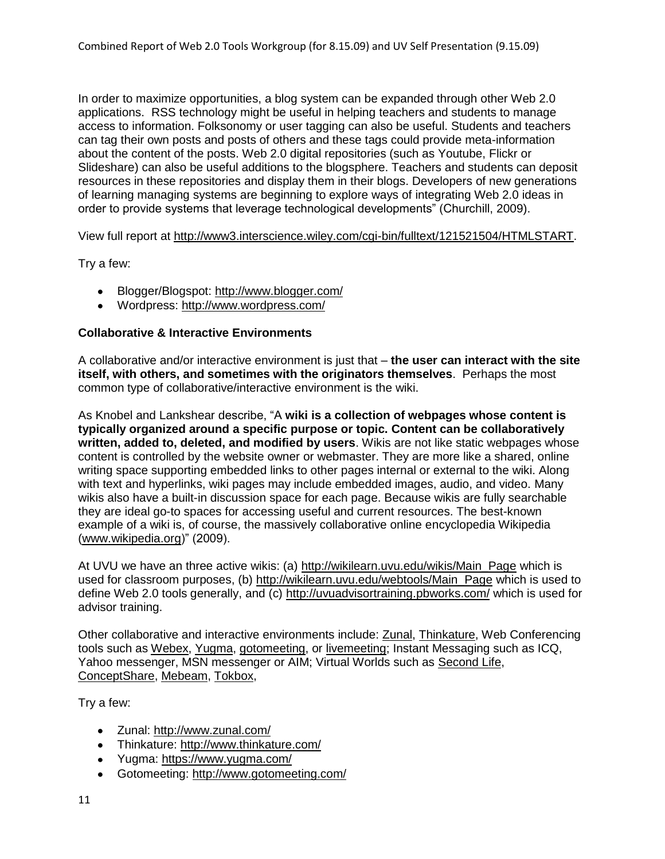In order to maximize opportunities, a blog system can be expanded through other Web 2.0 applications. RSS technology might be useful in helping teachers and students to manage access to information. Folksonomy or user tagging can also be useful. Students and teachers can tag their own posts and posts of others and these tags could provide meta-information about the content of the posts. Web 2.0 digital repositories (such as Youtube, Flickr or Slideshare) can also be useful additions to the blogsphere. Teachers and students can deposit resources in these repositories and display them in their blogs. Developers of new generations of learning managing systems are beginning to explore ways of integrating Web 2.0 ideas in order to provide systems that leverage technological developments" (Churchill, 2009).

View full report at [http://www3.interscience.wiley.com/cgi-bin/fulltext/121521504/HTMLSTART.](http://www3.interscience.wiley.com/cgi-bin/fulltext/121521504/HTMLSTART)

Try a few:

- Blogger/Blogspot:<http://www.blogger.com/>
- Wordpress:<http://www.wordpress.com/>

#### **Collaborative & Interactive Environments**

A collaborative and/or interactive environment is just that – **the user can interact with the site itself, with others, and sometimes with the originators themselves**. Perhaps the most common type of collaborative/interactive environment is the wiki.

As Knobel and Lankshear describe, "A wiki is a collection of webpages whose content is **typically organized around a specific purpose or topic. Content can be collaboratively written, added to, deleted, and modified by users**. Wikis are not like static webpages whose content is controlled by the website owner or webmaster. They are more like a shared, online writing space supporting embedded links to other pages internal or external to the wiki. Along with text and hyperlinks, wiki pages may include embedded images, audio, and video. Many wikis also have a built-in discussion space for each page. Because wikis are fully searchable they are ideal go-to spaces for accessing useful and current resources. The best-known example of a wiki is, of course, the massively collaborative online encyclopedia Wikipedia [\(www.wikipedia.org\)](http://www.wikipedia.org/)" (2009).

At UVU we have an three active wikis: (a) [http://wikilearn.uvu.edu/wikis/Main\\_Page](http://wikilearn.uvu.edu/wikis/Main_Page) which is used for classroom purposes, (b) [http://wikilearn.uvu.edu/webtools/Main\\_Page](http://wikilearn.uvu.edu/webtools/Main_Page) which is used to define Web 2.0 tools generally, and (c)<http://uvuadvisortraining.pbworks.com/> which is used for advisor training.

Other collaborative and interactive environments include: [Zunal,](http://www.zunal.com/) [Thinkature,](http://www.thinkature.com/) Web Conferencing tools such as [Webex,](http://www.webex.com/) [Yugma,](https://www.yugma.com/) [gotomeeting,](http://www.gotomeeting.com/) or [livemeeting;](http://www.livemeeting.com/) Instant Messaging such as ICQ, Yahoo messenger, MSN messenger or AIM; Virtual Worlds such as [Second Life,](http://secondlife.com/) [ConceptShare,](http://www.conceptshare.com/) [Mebeam,](http://www.mebeam.com/) [Tokbox,](http://www.tokbox.com/)

Try a few:

- Zunal:<http://www.zunal.com/>
- Thinkature:<http://www.thinkature.com/>
- Yugma:<https://www.yugma.com/>
- Gotomeeting:<http://www.gotomeeting.com/>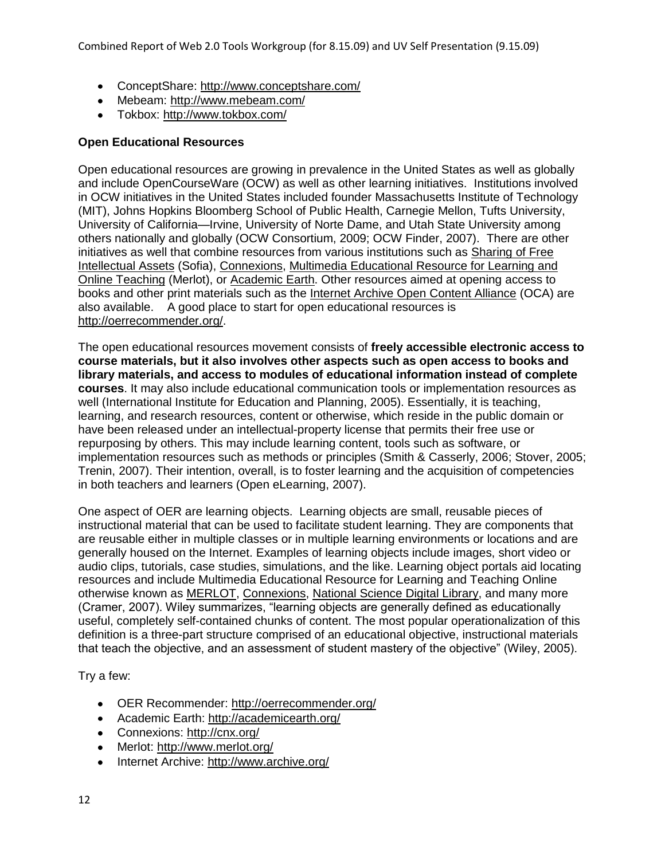- ConceptShare:<http://www.conceptshare.com/>
- Mebeam:<http://www.mebeam.com/>
- Tokbox:<http://www.tokbox.com/>

#### **Open Educational Resources**

Open educational resources are growing in prevalence in the United States as well as globally and include OpenCourseWare (OCW) as well as other learning initiatives. Institutions involved in OCW initiatives in the United States included founder Massachusetts Institute of Technology (MIT), Johns Hopkins Bloomberg School of Public Health, Carnegie Mellon, Tufts University, University of California—Irvine, University of Norte Dame, and Utah State University among others nationally and globally (OCW Consortium, 2009; OCW Finder, 2007). There are other initiatives as well that combine resources from various institutions such as [Sharing of Free](http://sofia.fhda.edu/)  [Intellectual Assets](http://sofia.fhda.edu/) (Sofia), [Connexions,](http://cnx.org/) [Multimedia Educational Resource for Learning and](http://www.merlot.org/merlot/index.htm)  [Online Teaching](http://www.merlot.org/merlot/index.htm) (Merlot), or [Academic Earth.](http://academicearth.org/) Other resources aimed at opening access to books and other print materials such as the [Internet Archive Open Content Alliance](http://www.archive.org/) (OCA) are also available. A good place to start for open educational resources is [http://oerrecommender.org/.](http://oerrecommender.org/)

The open educational resources movement consists of **freely accessible electronic access to course materials, but it also involves other aspects such as open access to books and library materials, and access to modules of educational information instead of complete courses**. It may also include educational communication tools or implementation resources as well (International Institute for Education and Planning, 2005). Essentially, it is teaching, learning, and research resources, content or otherwise, which reside in the public domain or have been released under an intellectual-property license that permits their free use or repurposing by others. This may include learning content, tools such as software, or implementation resources such as methods or principles (Smith & Casserly, 2006; Stover, 2005; Trenin, 2007). Their intention, overall, is to foster learning and the acquisition of competencies in both teachers and learners (Open eLearning, 2007).

One aspect of OER are learning objects. Learning objects are small, reusable pieces of instructional material that can be used to facilitate student learning. They are components that are reusable either in multiple classes or in multiple learning environments or locations and are generally housed on the Internet. Examples of learning objects include images, short video or audio clips, tutorials, case studies, simulations, and the like. Learning object portals aid locating resources and include Multimedia Educational Resource for Learning and Teaching Online otherwise known as [MERLOT,](http://www.merlot.org/) [Connexions,](http://cnx.org/) [National Science Digital Library,](http://nsdl.org/) and many more (Cramer, 2007). Wiley summarizes, "learning objects are generally defined as educationally useful, completely self-contained chunks of content. The most popular operationalization of this definition is a three-part structure comprised of an educational objective, instructional materials that teach the objective, and an assessment of student mastery of the objective" (Wiley, 2005).

Try a few:

- OER Recommender:<http://oerrecommender.org/>
- Academic Earth:<http://academicearth.org/>
- Connexions:<http://cnx.org/>
- Merlot:<http://www.merlot.org/>
- Internet Archive:<http://www.archive.org/>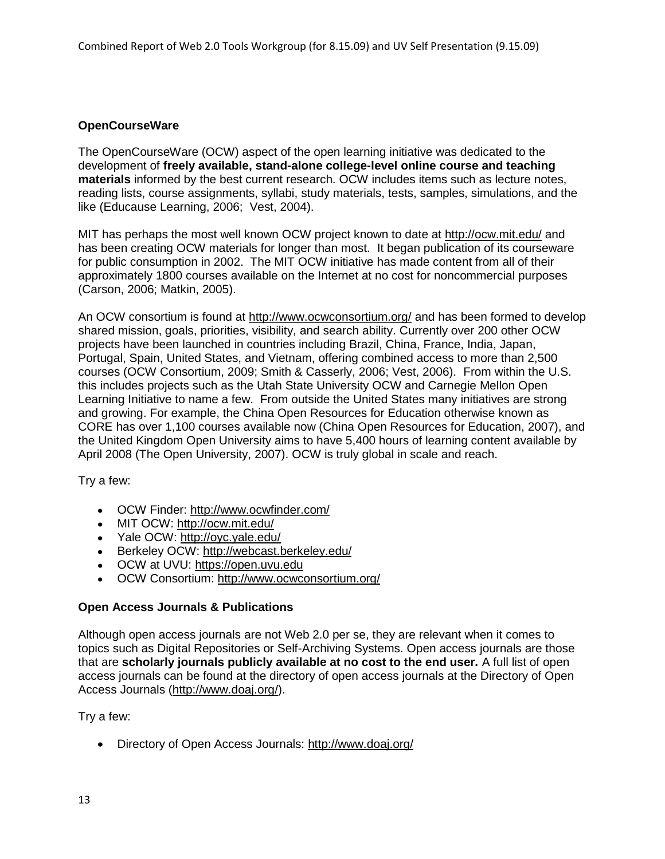# **OpenCourseWare**

The OpenCourseWare (OCW) aspect of the open learning initiative was dedicated to the development of **freely available, stand-alone college-level online course and teaching materials** informed by the best current research. OCW includes items such as lecture notes, reading lists, course assignments, syllabi, study materials, tests, samples, simulations, and the like (Educause Learning, 2006; Vest, 2004).

MIT has perhaps the most well known OCW project known to date at<http://ocw.mit.edu/> and has been creating OCW materials for longer than most. It began publication of its courseware for public consumption in 2002. The MIT OCW initiative has made content from all of their approximately 1800 courses available on the Internet at no cost for noncommercial purposes (Carson, 2006; Matkin, 2005).

An OCW consortium is found at<http://www.ocwconsortium.org/> and has been formed to develop shared mission, goals, priorities, visibility, and search ability. Currently over 200 other OCW projects have been launched in countries including Brazil, China, France, India, Japan, Portugal, Spain, United States, and Vietnam, offering combined access to more than 2,500 courses (OCW Consortium, 2009; Smith & Casserly, 2006; Vest, 2006). From within the U.S. this includes projects such as the Utah State University OCW and Carnegie Mellon Open Learning Initiative to name a few. From outside the United States many initiatives are strong and growing. For example, the China Open Resources for Education otherwise known as CORE has over 1,100 courses available now (China Open Resources for Education, 2007), and the United Kingdom Open University aims to have 5,400 hours of learning content available by April 2008 (The Open University, 2007). OCW is truly global in scale and reach.

Try a few:

- OCW Finder:<http://www.ocwfinder.com/>
- MIT OCW:<http://ocw.mit.edu/>
- Yale OCW:<http://oyc.yale.edu/>
- Berkeley OCW:<http://webcast.berkeley.edu/>
- OCW at UVU: [https://open.uvu.edu](https://open.uvu.edu/)
- OCW Consortium:<http://www.ocwconsortium.org/>

#### **Open Access Journals & Publications**

Although open access journals are not Web 2.0 per se, they are relevant when it comes to topics such as Digital Repositories or Self-Archiving Systems. Open access journals are those that are **scholarly journals publicly available at no cost to the end user.** A full list of open access journals can be found at the directory of open access journals at the Directory of Open Access Journals [\(http://www.doaj.org/\)](http://www.doaj.org/).

Try a few:

Directory of Open Access Journals:<http://www.doaj.org/>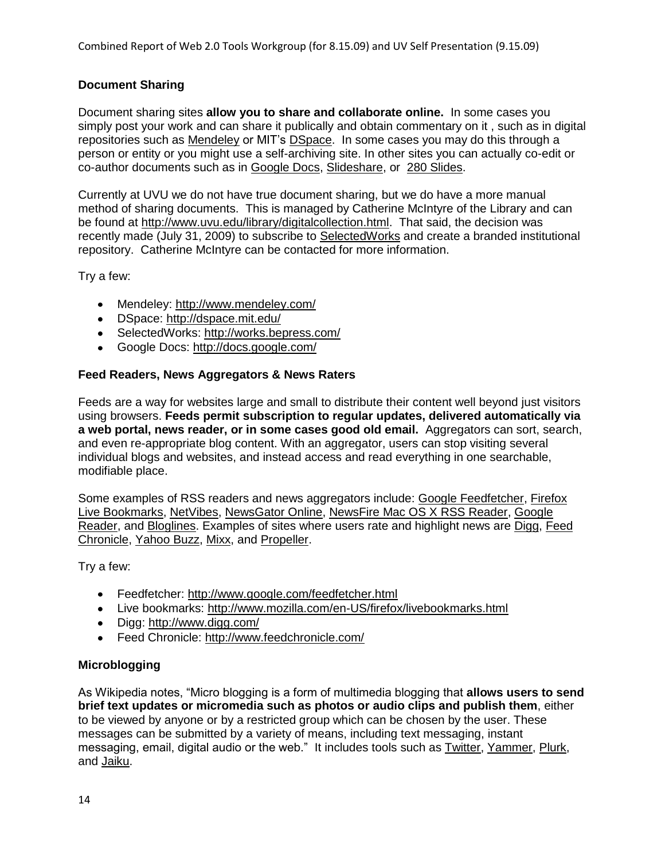# **Document Sharing**

Document sharing sites **allow you to share and collaborate online.** In some cases you simply post your work and can share it publically and obtain commentary on it , such as in digital repositories such as [Mendeley](http://www.mendeley.com/) or MIT's [DSpace.](http://dspace.mit.edu/) In some cases you may do this through a person or entity or you might use a self-archiving site. In other sites you can actually co-edit or co-author documents such as in [Google Docs,](http://docs.google.com/) [Slideshare,](http://www.slideshare.net/) or [280 Slides.](http://280slides.com/)

Currently at UVU we do not have true document sharing, but we do have a more manual method of sharing documents. This is managed by Catherine McIntyre of the Library and can be found at [http://www.uvu.edu/library/digitalcollection.html.](http://www.uvu.edu/library/digitalcollection.html) That said, the decision was recently made (July 31, 2009) to subscribe to [SelectedWorks](http://works.bepress.com/) and create a branded institutional repository. Catherine McIntyre can be contacted for more information.

Try a few:

- Mendeley:<http://www.mendeley.com/>
- DSpace:<http://dspace.mit.edu/>
- SelectedWorks:<http://works.bepress.com/>
- Google Docs:<http://docs.google.com/>

#### **Feed Readers, News Aggregators & News Raters**

Feeds are a way for websites large and small to distribute their content well beyond just visitors using browsers. **Feeds permit subscription to regular updates, delivered automatically via a web portal, news reader, or in some cases good old email.** Aggregators can sort, search, and even re-appropriate blog content. With an aggregator, users can stop visiting several individual blogs and websites, and instead access and read everything in one searchable, modifiable place.

Some examples of RSS readers and news aggregators include: [Google Feedfetcher,](http://www.google.com/feedfetcher.html) [Firefox](http://www.mozilla.com/en-US/firefox/livebookmarks.html)  [Live Bookmarks,](http://www.mozilla.com/en-US/firefox/livebookmarks.html) [NetVibes,](http://www.netvibes.com/) [NewsGator Online,](http://www.newsgator.com/Individuals/NewsGatorOnline/Default.aspx) [NewsFire Mac OS X RSS Reader,](http://www.newsfirerss.com/) [Google](http://www.google.com/reader/)  [Reader,](http://www.google.com/reader/) and [Bloglines.](http://www.bloglines.com/) Examples of sites where users rate and highlight news are [Digg,](http://www.digg.com/) [Feed](http://www.feedchronicle.com/)  [Chronicle,](http://www.feedchronicle.com/) [Yahoo Buzz,](http://buzz.yahoo.com/) [Mixx,](http://www.mixx.com/) and [Propeller.](http://www.propeller.com/)

Try a few:

- Feedfetcher:<http://www.google.com/feedfetcher.html>
- Live bookmarks:<http://www.mozilla.com/en-US/firefox/livebookmarks.html>
- Digg:<http://www.digg.com/>
- Feed Chronicle:<http://www.feedchronicle.com/>

#### **Microblogging**

As Wikipedia notes, "Micro blogging is a form of multimedia blogging that **allows users to send brief text updates or micromedia such as photos or audio clips and publish them**, either to be viewed by anyone or by a restricted group which can be chosen by the user. These messages can be submitted by a variety of means, including text messaging, instant messaging, email, digital audio or the web.‖ It includes tools such as [Twitter,](http://twitter.com/) [Yammer,](https://www.yammer.com/home) [Plurk,](http://www.plurk.com/) and [Jaiku.](http://www.jaiku.com/)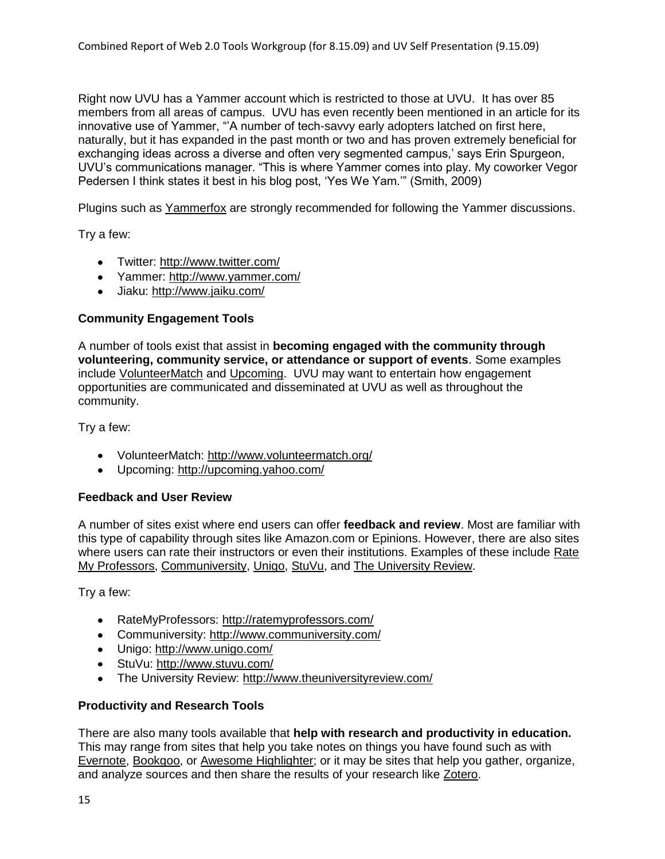Right now UVU has a Yammer account which is restricted to those at UVU. It has over 85 members from all areas of campus. UVU has even recently been mentioned in an article for its innovative use of Yammer, "A number of tech-savvy early adopters latched on first here, naturally, but it has expanded in the past month or two and has proven extremely beneficial for exchanging ideas across a diverse and often very segmented campus,' says Erin Spurgeon, UVU's communications manager. "This is where Yammer comes into play. My coworker Vegor Pedersen I think states it best in his blog post, 'Yes We Yam.'" (Smith, 2009)

Plugins such as [Yammerfox](https://addons.mozilla.org/en-US/firefox/addon/10282) are strongly recommended for following the Yammer discussions.

Try a few:

- Twitter:<http://www.twitter.com/>
- Yammer:<http://www.yammer.com/>
- Jiaku:<http://www.jaiku.com/>

#### **Community Engagement Tools**

A number of tools exist that assist in **becoming engaged with the community through volunteering, community service, or attendance or support of events**. Some examples include [VolunteerMatch](http://www.volunteermatch.org/) and [Upcoming.](http://upcoming.yahoo.com/) UVU may want to entertain how engagement opportunities are communicated and disseminated at UVU as well as throughout the community.

Try a few:

- VolunteerMatch:<http://www.volunteermatch.org/>
- Upcoming:<http://upcoming.yahoo.com/>

#### **Feedback and User Review**

A number of sites exist where end users can offer **feedback and review**. Most are familiar with this type of capability through sites like Amazon.com or Epinions. However, there are also sites where users can rate their instructors or even their institutions. Examples of these include [Rate](http://www.ratemyprofessors.com/)  [My Professors,](http://www.ratemyprofessors.com/) [Communiversity,](http://www.communiversity.com/) [Unigo,](http://www.unigo.com/) [StuVu,](http://www.stuvu.com/) and [The University Review.](http://www.theuniversityreview.com/)

Try a few:

- RateMyProfessors:<http://ratemyprofessors.com/>
- Communiversity:<http://www.communiversity.com/>
- Unigo:<http://www.unigo.com/>
- StuVu:<http://www.stuvu.com/>
- The University Review:<http://www.theuniversityreview.com/>

#### **Productivity and Research Tools**

There are also many tools available that **help with research and productivity in education.** This may range from sites that help you take notes on things you have found such as with [Evernote,](http://www.evernote.com/) [Bookgoo,](http://www.bookgoo.com/) or [Awesome Highlighter;](http://www.awesomehighlighter.com/) or it may be sites that help you gather, organize, and analyze sources and then share the results of your research like [Zotero.](http://www.zotero.org/)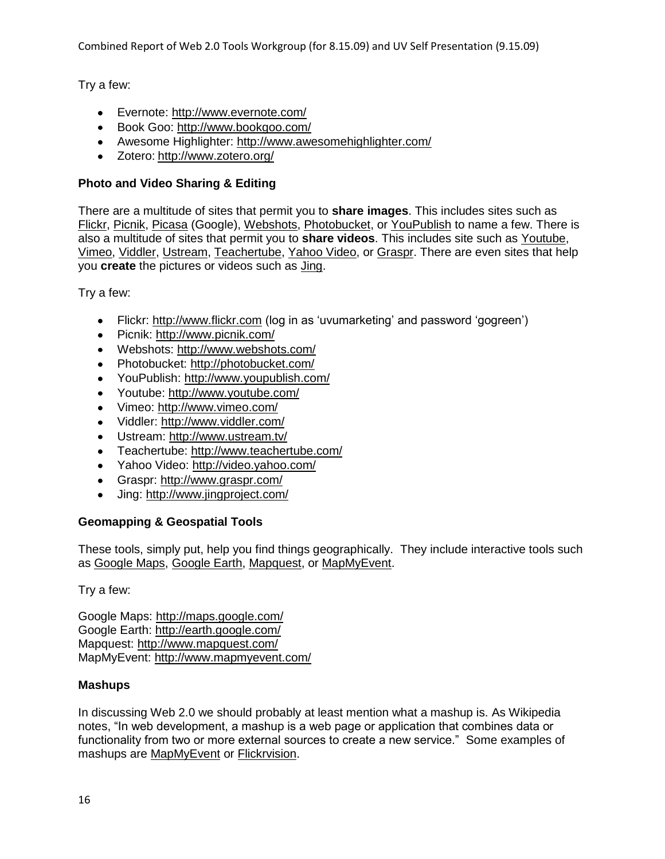Try a few:

- Evernote:<http://www.evernote.com/>
- Book Goo:<http://www.bookgoo.com/>
- Awesome Highlighter:<http://www.awesomehighlighter.com/>
- Zotero: <http://www.zotero.org/>

# **Photo and Video Sharing & Editing**

There are a multitude of sites that permit you to **share images**. This includes sites such as [Flickr,](http://www.flickr.com/) [Picnik,](http://www.picnik.com/) [Picasa](http://picasa.google.com/) (Google), [Webshots,](http://www.webshots.com/) [Photobucket,](http://photobucket.com/) or [YouPublish](http://www.youpublish.com/) to name a few. There is also a multitude of sites that permit you to **share videos**. This includes site such as [Youtube,](http://www.youtube.com/) [Vimeo,](http://www.vimeo.com/) [Viddler,](http://www.viddler.com/) [Ustream,](http://www.ustream.tv/) [Teachertube,](http://www.teachertube.com/) [Yahoo Video,](http://video.yahoo.com/) or [Graspr.](http://www.graspr.com/) There are even sites that help you **create** the pictures or videos such as [Jing.](http://www.jingproject.com/)

Try a few:

- Flickr: [http://www.flickr.com](http://www.flickr.com/) (log in as 'uvumarketing' and password 'gogreen')
- Picnik:<http://www.picnik.com/>
- Webshots:<http://www.webshots.com/>
- Photobucket:<http://photobucket.com/>
- YouPublish:<http://www.youpublish.com/>
- Youtube:<http://www.youtube.com/>
- Vimeo:<http://www.vimeo.com/>
- Viddler:<http://www.viddler.com/>
- Ustream:<http://www.ustream.tv/>
- Teachertube:<http://www.teachertube.com/>
- Yahoo Video:<http://video.yahoo.com/>
- Graspr:<http://www.graspr.com/>
- Jing:<http://www.jingproject.com/>

# **Geomapping & Geospatial Tools**

These tools, simply put, help you find things geographically. They include interactive tools such as [Google Maps,](http://www.jingproject.com/) [Google Earth,](http://earth.google.com/) [Mapquest,](http://www.mapquest.com/) or [MapMyEvent.](http://www.mapmyevent.com/)

Try a few:

Google Maps:<http://maps.google.com/> Google Earth:<http://earth.google.com/> Mapquest: <http://www.mapquest.com/> MapMyEvent:<http://www.mapmyevent.com/>

# **Mashups**

In discussing Web 2.0 we should probably at least mention what a mashup is. As Wikipedia notes, "In web development, a mashup is a web page or application that combines data or functionality from two or more external sources to create a new service." Some examples of mashups are [MapMyEvent](http://www.mapmyevent.com/) or [Flickrvision.](http://www.flickrvision.com/)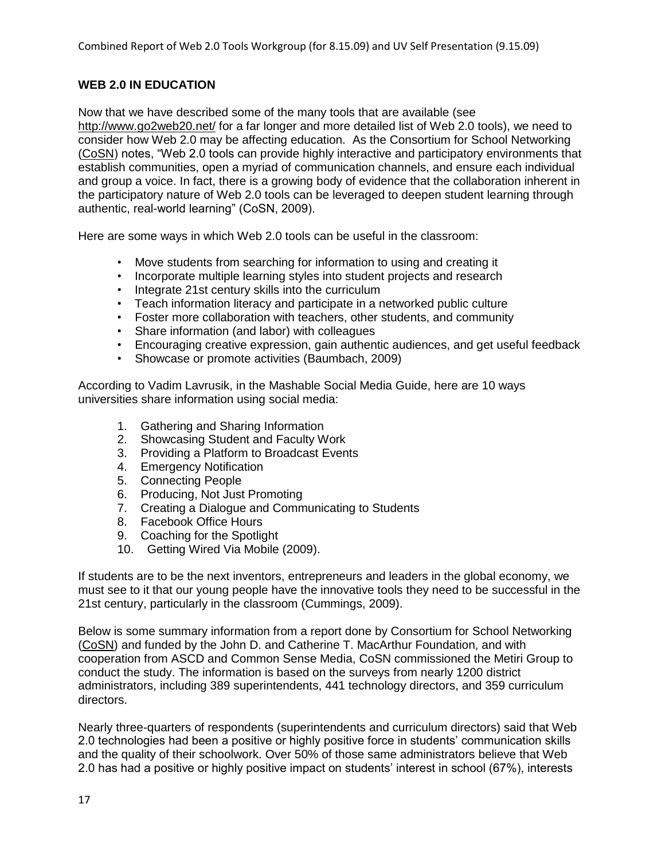# **WEB 2.0 IN EDUCATION**

Now that we have described some of the many tools that are available (see <http://www.go2web20.net/> for a far longer and more detailed list of Web 2.0 tools), we need to consider how Web 2.0 may be affecting education. As the Consortium for School Networking [\(CoSN\)](http://www.cosn.org/) notes, "Web 2.0 tools can provide highly interactive and participatory environments that establish communities, open a myriad of communication channels, and ensure each individual and group a voice. In fact, there is a growing body of evidence that the collaboration inherent in the participatory nature of Web 2.0 tools can be leveraged to deepen student learning through authentic, real-world learning" (CoSN, 2009).

Here are some ways in which Web 2.0 tools can be useful in the classroom:

- Move students from searching for information to using and creating it
- Incorporate multiple learning styles into student projects and research
- Integrate 21st century skills into the curriculum
- Teach information literacy and participate in a networked public culture
- Foster more collaboration with teachers, other students, and community
- Share information (and labor) with colleagues
- Encouraging creative expression, gain authentic audiences, and get useful feedback
- Showcase or promote activities (Baumbach, 2009)

According to Vadim Lavrusik, in the Mashable Social Media Guide, here are 10 ways universities share information using social media:

- 1. Gathering and Sharing Information
- 2. Showcasing Student and Faculty Work
- 3. Providing a Platform to Broadcast Events
- 4. Emergency Notification
- 5. Connecting People
- 6. Producing, Not Just Promoting
- 7. Creating a Dialogue and Communicating to Students
- 8. Facebook Office Hours
- 9. Coaching for the Spotlight
- 10. Getting Wired Via Mobile (2009).

If students are to be the next inventors, entrepreneurs and leaders in the global economy, we must see to it that our young people have the innovative tools they need to be successful in the 21st century, particularly in the classroom (Cummings, 2009).

Below is some summary information from a report done by Consortium for School Networking [\(CoSN\)](http://www.cosn.org/) and funded by the John D. and Catherine T. MacArthur Foundation, and with cooperation from ASCD and Common Sense Media, CoSN commissioned the Metiri Group to conduct the study. The information is based on the surveys from nearly 1200 district administrators, including 389 superintendents, 441 technology directors, and 359 curriculum directors.

Nearly three-quarters of respondents (superintendents and curriculum directors) said that Web 2.0 technologies had been a positive or highly positive force in students' communication skills and the quality of their schoolwork. Over 50% of those same administrators believe that Web 2.0 has had a positive or highly positive impact on students' interest in school (67%), interests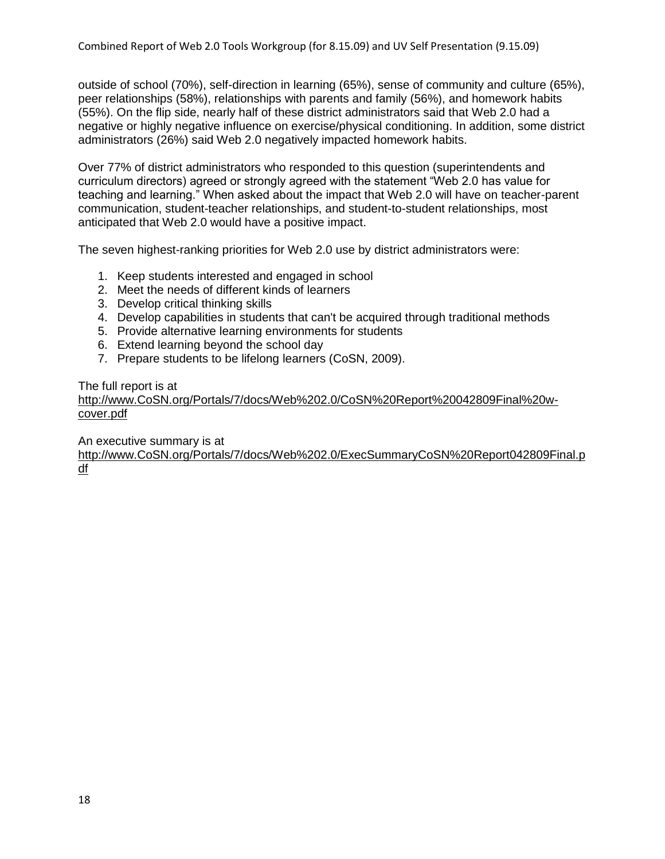outside of school (70%), self-direction in learning (65%), sense of community and culture (65%), peer relationships (58%), relationships with parents and family (56%), and homework habits (55%). On the flip side, nearly half of these district administrators said that Web 2.0 had a negative or highly negative influence on exercise/physical conditioning. In addition, some district administrators (26%) said Web 2.0 negatively impacted homework habits.

Over 77% of district administrators who responded to this question (superintendents and curriculum directors) agreed or strongly agreed with the statement "Web 2.0 has value for teaching and learning." When asked about the impact that Web 2.0 will have on teacher-parent communication, student-teacher relationships, and student-to-student relationships, most anticipated that Web 2.0 would have a positive impact.

The seven highest-ranking priorities for Web 2.0 use by district administrators were:

- 1. Keep students interested and engaged in school
- 2. Meet the needs of different kinds of learners
- 3. Develop critical thinking skills
- 4. Develop capabilities in students that can't be acquired through traditional methods
- 5. Provide alternative learning environments for students
- 6. Extend learning beyond the school day
- 7. Prepare students to be lifelong learners (CoSN, 2009).

The full report is at

[http://www.CoSN.org/Portals/7/docs/Web%202.0/CoSN%20Report%20042809Final%20w](http://www.cosn.org/Portals/7/docs/Web%202.0/CoSN%20Report%20042809Final%20w-cover.pdf)[cover.pdf](http://www.cosn.org/Portals/7/docs/Web%202.0/CoSN%20Report%20042809Final%20w-cover.pdf)

An executive summary is at

[http://www.CoSN.org/Portals/7/docs/Web%202.0/ExecSummaryCoSN%20Report042809Final.p](http://www.cosn.org/Portals/7/docs/Web%202.0/ExecSummaryCoSN%20Report042809Final.pdf) [df](http://www.cosn.org/Portals/7/docs/Web%202.0/ExecSummaryCoSN%20Report042809Final.pdf)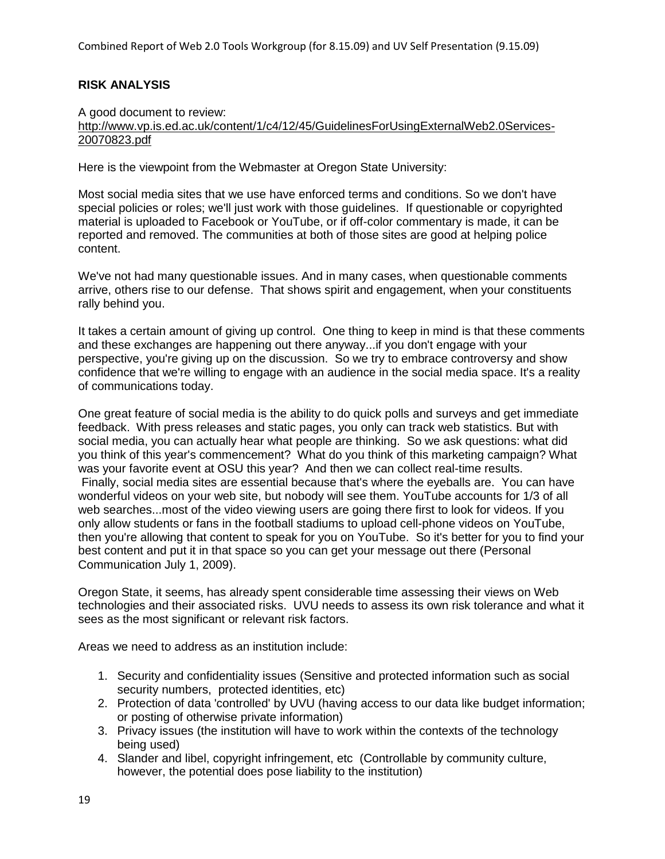## **RISK ANALYSIS**

A good document to review:

[http://www.vp.is.ed.ac.uk/content/1/c4/12/45/GuidelinesForUsingExternalWeb2.0Services-](http://www.vp.is.ed.ac.uk/content/1/c4/12/45/GuidelinesForUsingExternalWeb2.0Services-20070823.pdf)[20070823.pdf](http://www.vp.is.ed.ac.uk/content/1/c4/12/45/GuidelinesForUsingExternalWeb2.0Services-20070823.pdf)

Here is the viewpoint from the Webmaster at Oregon State University:

Most social media sites that we use have enforced terms and conditions. So we don't have special policies or roles; we'll just work with those guidelines. If questionable or copyrighted material is uploaded to Facebook or YouTube, or if off-color commentary is made, it can be reported and removed. The communities at both of those sites are good at helping police content.

We've not had many questionable issues. And in many cases, when questionable comments arrive, others rise to our defense. That shows spirit and engagement, when your constituents rally behind you.

It takes a certain amount of giving up control. One thing to keep in mind is that these comments and these exchanges are happening out there anyway...if you don't engage with your perspective, you're giving up on the discussion. So we try to embrace controversy and show confidence that we're willing to engage with an audience in the social media space. It's a reality of communications today.

One great feature of social media is the ability to do quick polls and surveys and get immediate feedback. With press releases and static pages, you only can track web statistics. But with social media, you can actually hear what people are thinking. So we ask questions: what did you think of this year's commencement? What do you think of this marketing campaign? What was your favorite event at OSU this year? And then we can collect real-time results. Finally, social media sites are essential because that's where the eyeballs are. You can have wonderful videos on your web site, but nobody will see them. YouTube accounts for 1/3 of all web searches...most of the video viewing users are going there first to look for videos. If you only allow students or fans in the football stadiums to upload cell-phone videos on YouTube, then you're allowing that content to speak for you on YouTube. So it's better for you to find your best content and put it in that space so you can get your message out there (Personal Communication July 1, 2009).

Oregon State, it seems, has already spent considerable time assessing their views on Web technologies and their associated risks. UVU needs to assess its own risk tolerance and what it sees as the most significant or relevant risk factors.

Areas we need to address as an institution include:

- 1. Security and confidentiality issues (Sensitive and protected information such as social security numbers, protected identities, etc)
- 2. Protection of data 'controlled' by UVU (having access to our data like budget information; or posting of otherwise private information)
- 3. Privacy issues (the institution will have to work within the contexts of the technology being used)
- 4. Slander and libel, copyright infringement, etc (Controllable by community culture, however, the potential does pose liability to the institution)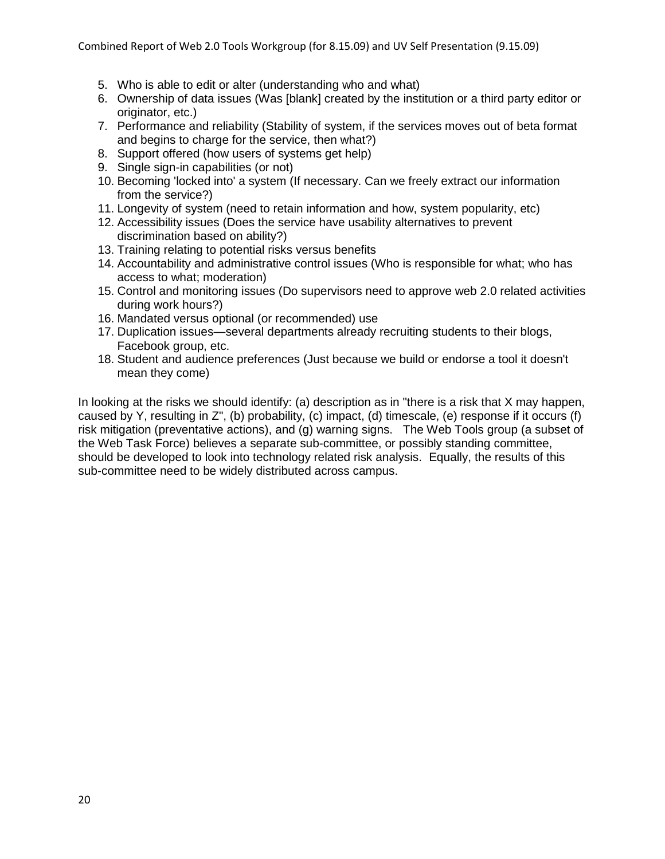- 5. Who is able to edit or alter (understanding who and what)
- 6. Ownership of data issues (Was [blank] created by the institution or a third party editor or originator, etc.)
- 7. Performance and reliability (Stability of system, if the services moves out of beta format and begins to charge for the service, then what?)
- 8. Support offered (how users of systems get help)
- 9. Single sign-in capabilities (or not)
- 10. Becoming 'locked into' a system (If necessary. Can we freely extract our information from the service?)
- 11. Longevity of system (need to retain information and how, system popularity, etc)
- 12. Accessibility issues (Does the service have usability alternatives to prevent discrimination based on ability?)
- 13. Training relating to potential risks versus benefits
- 14. Accountability and administrative control issues (Who is responsible for what; who has access to what; moderation)
- 15. Control and monitoring issues (Do supervisors need to approve web 2.0 related activities during work hours?)
- 16. Mandated versus optional (or recommended) use
- 17. Duplication issues—several departments already recruiting students to their blogs, Facebook group, etc.
- 18. Student and audience preferences (Just because we build or endorse a tool it doesn't mean they come)

In looking at the risks we should identify: (a) description as in "there is a risk that X may happen, caused by Y, resulting in Z", (b) probability, (c) impact, (d) timescale, (e) response if it occurs (f) risk mitigation (preventative actions), and (g) warning signs. The Web Tools group (a subset of the Web Task Force) believes a separate sub-committee, or possibly standing committee, should be developed to look into technology related risk analysis. Equally, the results of this sub-committee need to be widely distributed across campus.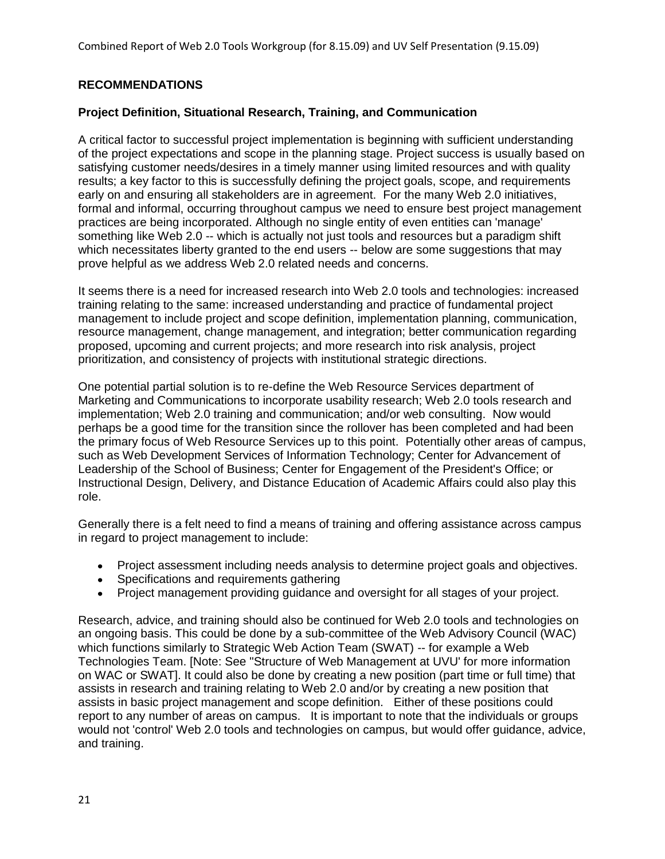# **RECOMMENDATIONS**

#### **Project Definition, Situational Research, Training, and Communication**

A critical factor to successful project implementation is beginning with sufficient understanding of the project expectations and scope in the planning stage. Project success is usually based on satisfying customer needs/desires in a timely manner using limited resources and with quality results; a key factor to this is successfully defining the project goals, scope, and requirements early on and ensuring all stakeholders are in agreement. For the many Web 2.0 initiatives, formal and informal, occurring throughout campus we need to ensure best project management practices are being incorporated. Although no single entity of even entities can 'manage' something like Web 2.0 -- which is actually not just tools and resources but a paradigm shift which necessitates liberty granted to the end users -- below are some suggestions that may prove helpful as we address Web 2.0 related needs and concerns.

It seems there is a need for increased research into Web 2.0 tools and technologies: increased training relating to the same: increased understanding and practice of fundamental project management to include project and scope definition, implementation planning, communication, resource management, change management, and integration; better communication regarding proposed, upcoming and current projects; and more research into risk analysis, project prioritization, and consistency of projects with institutional strategic directions.

One potential partial solution is to re-define the Web Resource Services department of Marketing and Communications to incorporate usability research; Web 2.0 tools research and implementation; Web 2.0 training and communication; and/or web consulting. Now would perhaps be a good time for the transition since the rollover has been completed and had been the primary focus of Web Resource Services up to this point. Potentially other areas of campus, such as Web Development Services of Information Technology; Center for Advancement of Leadership of the School of Business; Center for Engagement of the President's Office; or Instructional Design, Delivery, and Distance Education of Academic Affairs could also play this role.

Generally there is a felt need to find a means of training and offering assistance across campus in regard to project management to include:

- Project assessment including needs analysis to determine project goals and objectives.
- Specifications and requirements gathering
- Project management providing guidance and oversight for all stages of your project.

Research, advice, and training should also be continued for Web 2.0 tools and technologies on an ongoing basis. This could be done by a sub-committee of the Web Advisory Council (WAC) which functions similarly to Strategic Web Action Team (SWAT) -- for example a Web Technologies Team. [Note: See "Structure of Web Management at UVU' for more information on WAC or SWAT]. It could also be done by creating a new position (part time or full time) that assists in research and training relating to Web 2.0 and/or by creating a new position that assists in basic project management and scope definition. Either of these positions could report to any number of areas on campus. It is important to note that the individuals or groups would not 'control' Web 2.0 tools and technologies on campus, but would offer guidance, advice, and training.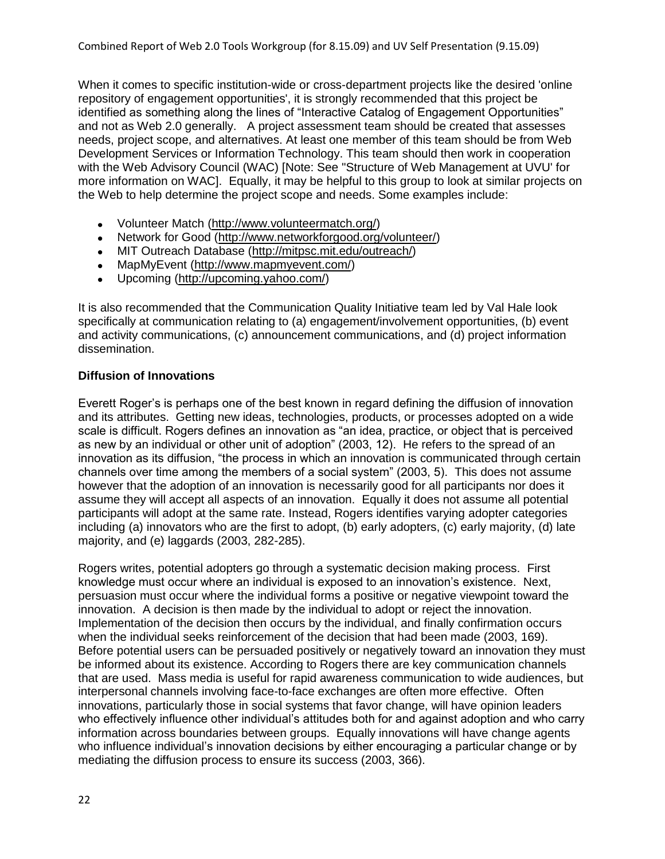When it comes to specific institution-wide or cross-department projects like the desired 'online repository of engagement opportunities', it is strongly recommended that this project be identified as something along the lines of "Interactive Catalog of Engagement Opportunities" and not as Web 2.0 generally. A project assessment team should be created that assesses needs, project scope, and alternatives. At least one member of this team should be from Web Development Services or Information Technology. This team should then work in cooperation with the Web Advisory Council (WAC) [Note: See "Structure of Web Management at UVU' for more information on WAC]. Equally, it may be helpful to this group to look at similar projects on the Web to help determine the project scope and needs. Some examples include:

- Volunteer Match [\(http://www.volunteermatch.org/\)](http://www.volunteermatch.org/)
- Network for Good [\(http://www.networkforgood.org/volunteer/\)](http://www.networkforgood.org/volunteer/)  $\bullet$
- MIT Outreach Database [\(http://mitpsc.mit.edu/outreach/\)](http://mitpsc.mit.edu/outreach/)
- $\bullet$ MapMyEvent [\(http://www.mapmyevent.com/\)](http://www.mapmyevent.com/)
- Upcoming [\(http://upcoming.yahoo.com/\)](http://upcoming.yahoo.com/)  $\bullet$

It is also recommended that the Communication Quality Initiative team led by Val Hale look specifically at communication relating to (a) engagement/involvement opportunities, (b) event and activity communications, (c) announcement communications, and (d) project information dissemination.

#### **Diffusion of Innovations**

Everett Roger's is perhaps one of the best known in regard defining the diffusion of innovation and its attributes. Getting new ideas, technologies, products, or processes adopted on a wide scale is difficult. Rogers defines an innovation as "an idea, practice, or object that is perceived as new by an individual or other unit of adoption" (2003, 12). He refers to the spread of an innovation as its diffusion, "the process in which an innovation is communicated through certain channels over time among the members of a social system" (2003, 5). This does not assume however that the adoption of an innovation is necessarily good for all participants nor does it assume they will accept all aspects of an innovation. Equally it does not assume all potential participants will adopt at the same rate. Instead, Rogers identifies varying adopter categories including (a) innovators who are the first to adopt, (b) early adopters, (c) early majority, (d) late majority, and (e) laggards (2003, 282-285).

Rogers writes, potential adopters go through a systematic decision making process. First knowledge must occur where an individual is exposed to an innovation's existence. Next, persuasion must occur where the individual forms a positive or negative viewpoint toward the innovation. A decision is then made by the individual to adopt or reject the innovation. Implementation of the decision then occurs by the individual, and finally confirmation occurs when the individual seeks reinforcement of the decision that had been made (2003, 169). Before potential users can be persuaded positively or negatively toward an innovation they must be informed about its existence. According to Rogers there are key communication channels that are used. Mass media is useful for rapid awareness communication to wide audiences, but interpersonal channels involving face-to-face exchanges are often more effective. Often innovations, particularly those in social systems that favor change, will have opinion leaders who effectively influence other individual's attitudes both for and against adoption and who carry information across boundaries between groups. Equally innovations will have change agents who influence individual's innovation decisions by either encouraging a particular change or by mediating the diffusion process to ensure its success (2003, 366).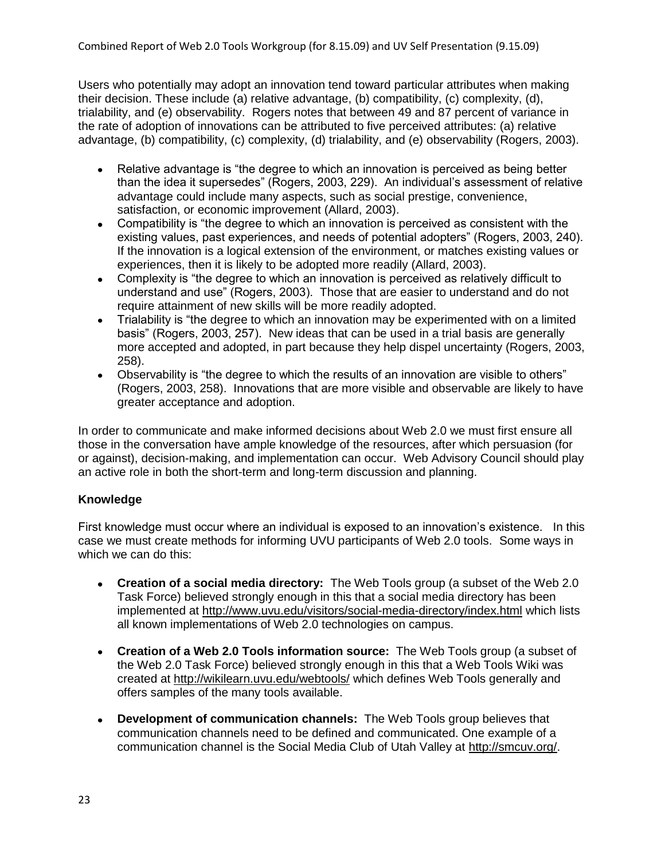Users who potentially may adopt an innovation tend toward particular attributes when making their decision. These include (a) relative advantage, (b) compatibility, (c) complexity, (d), trialability, and (e) observability. Rogers notes that between 49 and 87 percent of variance in the rate of adoption of innovations can be attributed to five perceived attributes: (a) relative advantage, (b) compatibility, (c) complexity, (d) trialability, and (e) observability (Rogers, 2003).

- Relative advantage is "the degree to which an innovation is perceived as being better  $\bullet$ than the idea it supersedes‖ (Rogers, 2003, 229). An individual's assessment of relative advantage could include many aspects, such as social prestige, convenience, satisfaction, or economic improvement (Allard, 2003).
- Compatibility is "the degree to which an innovation is perceived as consistent with the existing values, past experiences, and needs of potential adopters" (Rogers, 2003, 240). If the innovation is a logical extension of the environment, or matches existing values or experiences, then it is likely to be adopted more readily (Allard, 2003).
- Complexity is "the degree to which an innovation is perceived as relatively difficult to understand and use" (Rogers, 2003). Those that are easier to understand and do not require attainment of new skills will be more readily adopted.
- Trialability is "the degree to which an innovation may be experimented with on a limited basis‖ (Rogers, 2003, 257). New ideas that can be used in a trial basis are generally more accepted and adopted, in part because they help dispel uncertainty (Rogers, 2003, 258).
- Observability is "the degree to which the results of an innovation are visible to others" (Rogers, 2003, 258). Innovations that are more visible and observable are likely to have greater acceptance and adoption.

In order to communicate and make informed decisions about Web 2.0 we must first ensure all those in the conversation have ample knowledge of the resources, after which persuasion (for or against), decision-making, and implementation can occur. Web Advisory Council should play an active role in both the short-term and long-term discussion and planning.

#### **Knowledge**

First knowledge must occur where an individual is exposed to an innovation's existence. In this case we must create methods for informing UVU participants of Web 2.0 tools. Some ways in which we can do this:

- **Creation of a social media directory:** The Web Tools group (a subset of the Web 2.0 Task Force) believed strongly enough in this that a social media directory has been implemented at<http://www.uvu.edu/visitors/social-media-directory/index.html> which lists all known implementations of Web 2.0 technologies on campus.
- **Creation of a Web 2.0 Tools information source:** The Web Tools group (a subset of the Web 2.0 Task Force) believed strongly enough in this that a Web Tools Wiki was created at<http://wikilearn.uvu.edu/webtools/> which defines Web Tools generally and offers samples of the many tools available.
- **Development of communication channels:** The Web Tools group believes that  $\bullet$ communication channels need to be defined and communicated. One example of a communication channel is the Social Media Club of Utah Valley at [http://smcuv.org/.](http://smcuv.org/)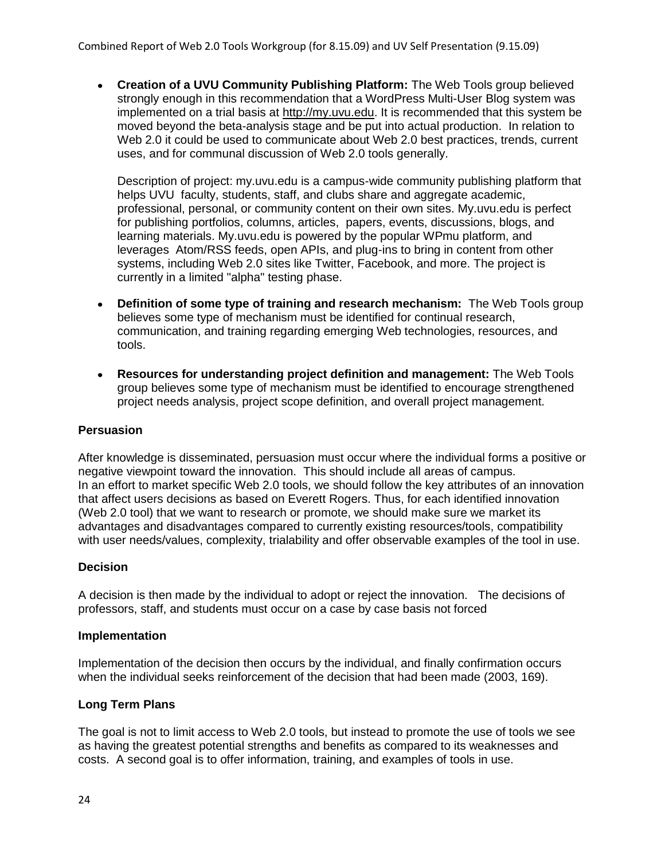**Creation of a UVU Community Publishing Platform:** The Web Tools group believed strongly enough in this recommendation that a WordPress Multi-User Blog system was implemented on a trial basis at [http://my.uvu.edu.](http://my.uvu.edu/) It is recommended that this system be moved beyond the beta-analysis stage and be put into actual production. In relation to Web 2.0 it could be used to communicate about Web 2.0 best practices, trends, current uses, and for communal discussion of Web 2.0 tools generally.

Description of project: my.uvu.edu is a campus-wide community publishing platform that helps UVU faculty, students, staff, and clubs share and aggregate academic, professional, personal, or community content on their own sites. My.uvu.edu is perfect for publishing portfolios, columns, articles, papers, events, discussions, blogs, and learning materials. My.uvu.edu is powered by the popular WPmu platform, and leverages Atom/RSS feeds, open APIs, and plug-ins to bring in content from other systems, including Web 2.0 sites like Twitter, Facebook, and more. The project is currently in a limited "alpha" testing phase.

- **Definition of some type of training and research mechanism:** The Web Tools group believes some type of mechanism must be identified for continual research, communication, and training regarding emerging Web technologies, resources, and tools.
- **Resources for understanding project definition and management:** The Web Tools group believes some type of mechanism must be identified to encourage strengthened project needs analysis, project scope definition, and overall project management.

#### **Persuasion**

After knowledge is disseminated, persuasion must occur where the individual forms a positive or negative viewpoint toward the innovation. This should include all areas of campus. In an effort to market specific Web 2.0 tools, we should follow the key attributes of an innovation that affect users decisions as based on Everett Rogers. Thus, for each identified innovation (Web 2.0 tool) that we want to research or promote, we should make sure we market its advantages and disadvantages compared to currently existing resources/tools, compatibility with user needs/values, complexity, trialability and offer observable examples of the tool in use.

#### **Decision**

A decision is then made by the individual to adopt or reject the innovation. The decisions of professors, staff, and students must occur on a case by case basis not forced

#### **Implementation**

Implementation of the decision then occurs by the individual, and finally confirmation occurs when the individual seeks reinforcement of the decision that had been made (2003, 169).

#### **Long Term Plans**

The goal is not to limit access to Web 2.0 tools, but instead to promote the use of tools we see as having the greatest potential strengths and benefits as compared to its weaknesses and costs. A second goal is to offer information, training, and examples of tools in use.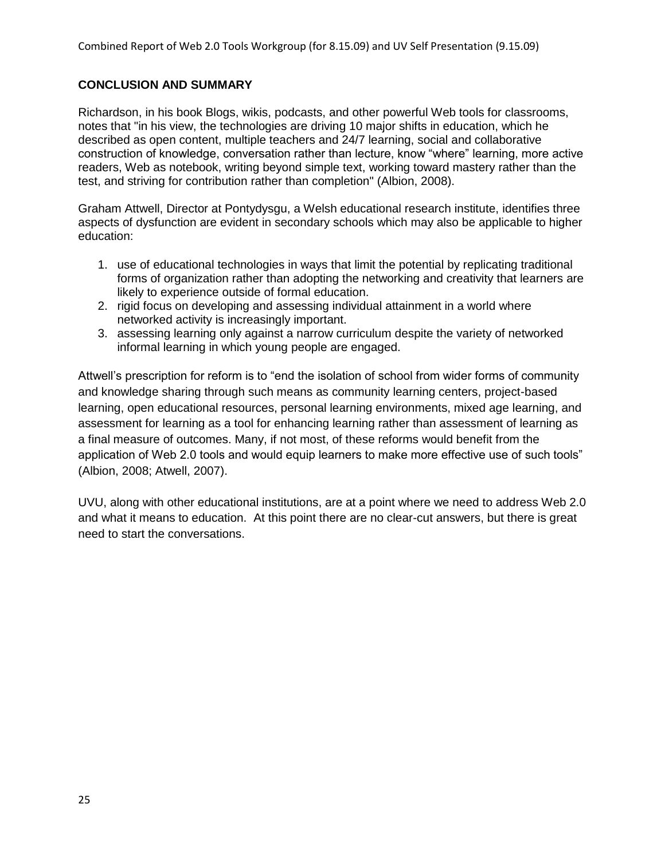# **CONCLUSION AND SUMMARY**

Richardson, in his book Blogs, wikis, podcasts, and other powerful Web tools for classrooms, notes that "in his view, the technologies are driving 10 major shifts in education, which he described as open content, multiple teachers and 24/7 learning, social and collaborative construction of knowledge, conversation rather than lecture, know "where" learning, more active readers, Web as notebook, writing beyond simple text, working toward mastery rather than the test, and striving for contribution rather than completion" (Albion, 2008).

Graham Attwell, Director at Pontydysgu, a Welsh educational research institute, identifies three aspects of dysfunction are evident in secondary schools which may also be applicable to higher education:

- 1. use of educational technologies in ways that limit the potential by replicating traditional forms of organization rather than adopting the networking and creativity that learners are likely to experience outside of formal education.
- 2. rigid focus on developing and assessing individual attainment in a world where networked activity is increasingly important.
- 3. assessing learning only against a narrow curriculum despite the variety of networked informal learning in which young people are engaged.

Attwell's prescription for reform is to "end the isolation of school from wider forms of community and knowledge sharing through such means as community learning centers, project-based learning, open educational resources, personal learning environments, mixed age learning, and assessment for learning as a tool for enhancing learning rather than assessment of learning as a final measure of outcomes. Many, if not most, of these reforms would benefit from the application of Web 2.0 tools and would equip learners to make more effective use of such tools" (Albion, 2008; Atwell, 2007).

UVU, along with other educational institutions, are at a point where we need to address Web 2.0 and what it means to education. At this point there are no clear-cut answers, but there is great need to start the conversations.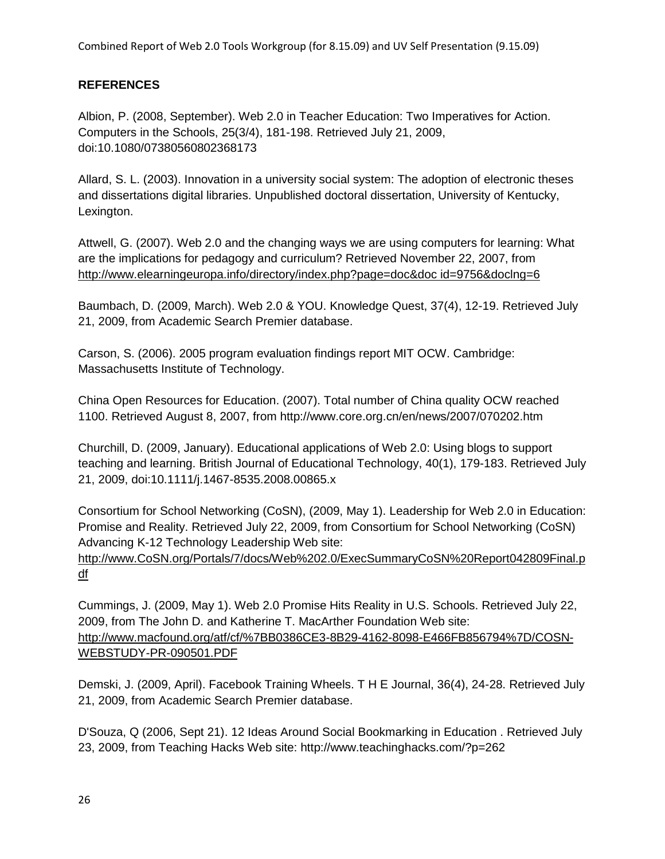Combined Report of Web 2.0 Tools Workgroup (for 8.15.09) and UV Self Presentation (9.15.09)

# **REFERENCES**

Albion, P. (2008, September). Web 2.0 in Teacher Education: Two Imperatives for Action. Computers in the Schools, 25(3/4), 181-198. Retrieved July 21, 2009, doi:10.1080/07380560802368173

Allard, S. L. (2003). Innovation in a university social system: The adoption of electronic theses and dissertations digital libraries. Unpublished doctoral dissertation, University of Kentucky, Lexington.

Attwell, G. (2007). Web 2.0 and the changing ways we are using computers for learning: What are the implications for pedagogy and curriculum? Retrieved November 22, 2007, from [http://www.elearningeuropa.info/directory/index.php?page=doc&doc id=9756&doclng=6](http://www.elearningeuropa.info/directory/index.php?page=doc&doc%20id=9756&doclng=6)

Baumbach, D. (2009, March). Web 2.0 & YOU. Knowledge Quest, 37(4), 12-19. Retrieved July 21, 2009, from Academic Search Premier database.

Carson, S. (2006). 2005 program evaluation findings report MIT OCW. Cambridge: Massachusetts Institute of Technology.

China Open Resources for Education. (2007). Total number of China quality OCW reached 1100. Retrieved August 8, 2007, from http://www.core.org.cn/en/news/2007/070202.htm

Churchill, D. (2009, January). Educational applications of Web 2.0: Using blogs to support teaching and learning. British Journal of Educational Technology, 40(1), 179-183. Retrieved July 21, 2009, doi:10.1111/j.1467-8535.2008.00865.x

Consortium for School Networking (CoSN), (2009, May 1). Leadership for Web 2.0 in Education: Promise and Reality. Retrieved July 22, 2009, from Consortium for School Networking (CoSN) Advancing K-12 Technology Leadership Web site:

[http://www.CoSN.org/Portals/7/docs/Web%202.0/ExecSummaryCoSN%20Report042809Final.p](http://www.cosn.org/Portals/7/docs/Web%202.0/ExecSummaryCoSN%20Report042809Final.pdf) [df](http://www.cosn.org/Portals/7/docs/Web%202.0/ExecSummaryCoSN%20Report042809Final.pdf)

Cummings, J. (2009, May 1). Web 2.0 Promise Hits Reality in U.S. Schools. Retrieved July 22, 2009, from The John D. and Katherine T. MacArther Foundation Web site: [http://www.macfound.org/atf/cf/%7BB0386CE3-8B29-4162-8098-E466FB856794%7D/COSN-](http://www.macfound.org/atf/cf/%7BB0386CE3-8B29-4162-8098-E466FB856794%7D/COSN-WEBSTUDY-PR-090501.PDF)[WEBSTUDY-PR-090501.PDF](http://www.macfound.org/atf/cf/%7BB0386CE3-8B29-4162-8098-E466FB856794%7D/COSN-WEBSTUDY-PR-090501.PDF)

Demski, J. (2009, April). Facebook Training Wheels. T H E Journal, 36(4), 24-28. Retrieved July 21, 2009, from Academic Search Premier database.

D'Souza, Q (2006, Sept 21). 12 Ideas Around Social Bookmarking in Education . Retrieved July 23, 2009, from Teaching Hacks Web site: http://www.teachinghacks.com/?p=262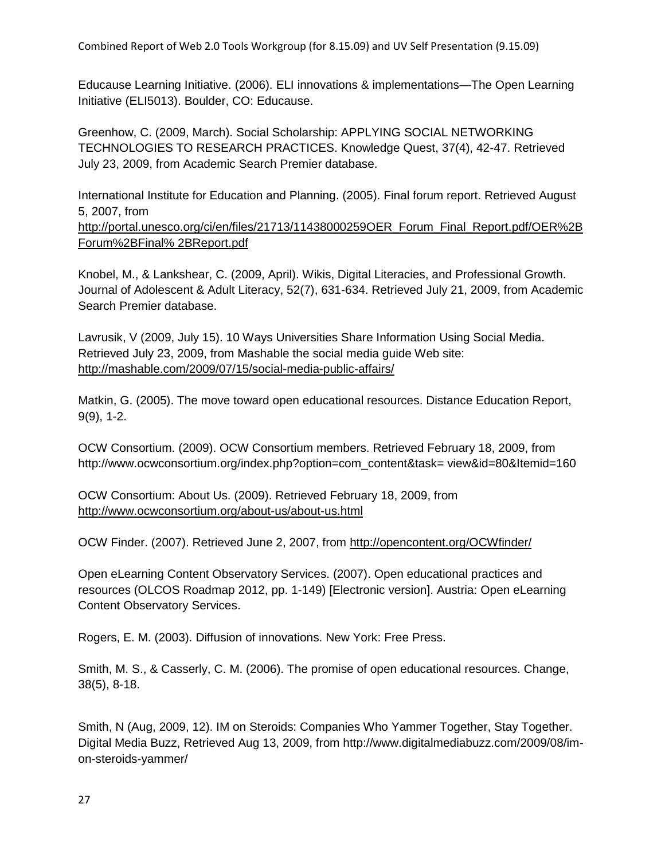Combined Report of Web 2.0 Tools Workgroup (for 8.15.09) and UV Self Presentation (9.15.09)

Educause Learning Initiative. (2006). ELI innovations & implementations—The Open Learning Initiative (ELI5013). Boulder, CO: Educause.

Greenhow, C. (2009, March). Social Scholarship: APPLYING SOCIAL NETWORKING TECHNOLOGIES TO RESEARCH PRACTICES. Knowledge Quest, 37(4), 42-47. Retrieved July 23, 2009, from Academic Search Premier database.

International Institute for Education and Planning. (2005). Final forum report. Retrieved August 5, 2007, from [http://portal.unesco.org/ci/en/files/21713/11438000259OER\\_Forum\\_Final\\_Report.pdf/OER%2B](http://portal.unesco.org/ci/en/files/21713/11438000259OER_Forum_Final_Report.pdf/OER%2BForum%2BFinal%25%202BReport.pdf) [Forum%2BFinal% 2BReport.pdf](http://portal.unesco.org/ci/en/files/21713/11438000259OER_Forum_Final_Report.pdf/OER%2BForum%2BFinal%25%202BReport.pdf)

Knobel, M., & Lankshear, C. (2009, April). Wikis, Digital Literacies, and Professional Growth. Journal of Adolescent & Adult Literacy, 52(7), 631-634. Retrieved July 21, 2009, from Academic Search Premier database.

Lavrusik, V (2009, July 15). 10 Ways Universities Share Information Using Social Media. Retrieved July 23, 2009, from Mashable the social media guide Web site: <http://mashable.com/2009/07/15/social-media-public-affairs/>

Matkin, G. (2005). The move toward open educational resources. Distance Education Report, 9(9), 1-2.

OCW Consortium. (2009). OCW Consortium members. Retrieved February 18, 2009, from http://www.ocwconsortium.org/index.php?option=com\_content&task= view&id=80&Itemid=160

OCW Consortium: About Us. (2009). Retrieved February 18, 2009, from <http://www.ocwconsortium.org/about-us/about-us.html>

OCW Finder. (2007). Retrieved June 2, 2007, from<http://opencontent.org/OCWfinder/>

Open eLearning Content Observatory Services. (2007). Open educational practices and resources (OLCOS Roadmap 2012, pp. 1-149) [Electronic version]. Austria: Open eLearning Content Observatory Services.

Rogers, E. M. (2003). Diffusion of innovations. New York: Free Press.

Smith, M. S., & Casserly, C. M. (2006). The promise of open educational resources. Change, 38(5), 8-18.

Smith, N (Aug, 2009, 12). IM on Steroids: Companies Who Yammer Together, Stay Together. Digital Media Buzz, Retrieved Aug 13, 2009, from http://www.digitalmediabuzz.com/2009/08/imon-steroids-yammer/